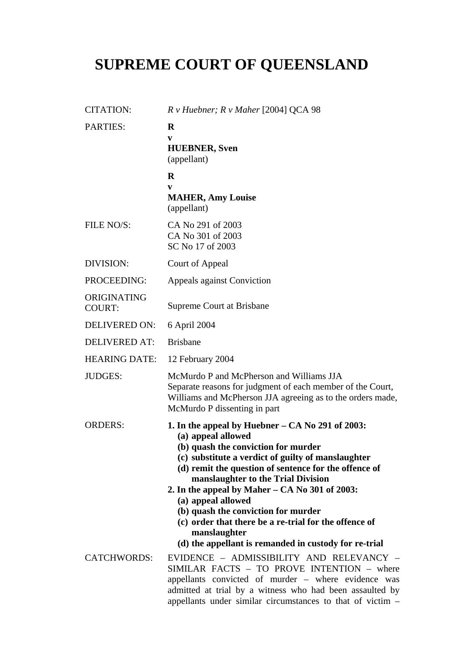## **SUPREME COURT OF QUEENSLAND**

| <b>CITATION:</b>             | $R \nu$ Huebner; $R \nu$ Maher [2004] QCA 98                                                                                                                                                                                                                                                                                                                                                                                                                   |
|------------------------------|----------------------------------------------------------------------------------------------------------------------------------------------------------------------------------------------------------------------------------------------------------------------------------------------------------------------------------------------------------------------------------------------------------------------------------------------------------------|
| <b>PARTIES:</b>              | $\bf{R}$<br>V<br><b>HUEBNER</b> , Sven<br>(appellant)                                                                                                                                                                                                                                                                                                                                                                                                          |
|                              | $\bf R$                                                                                                                                                                                                                                                                                                                                                                                                                                                        |
|                              | V<br><b>MAHER, Amy Louise</b><br>(appellant)                                                                                                                                                                                                                                                                                                                                                                                                                   |
| FILE NO/S:                   | CA No 291 of 2003<br>CA No 301 of 2003<br>SC No 17 of 2003                                                                                                                                                                                                                                                                                                                                                                                                     |
| DIVISION:                    | Court of Appeal                                                                                                                                                                                                                                                                                                                                                                                                                                                |
| PROCEEDING:                  | Appeals against Conviction                                                                                                                                                                                                                                                                                                                                                                                                                                     |
| ORIGINATING<br><b>COURT:</b> | Supreme Court at Brisbane                                                                                                                                                                                                                                                                                                                                                                                                                                      |
| <b>DELIVERED ON:</b>         | 6 April 2004                                                                                                                                                                                                                                                                                                                                                                                                                                                   |
| <b>DELIVERED AT:</b>         | <b>Brisbane</b>                                                                                                                                                                                                                                                                                                                                                                                                                                                |
| <b>HEARING DATE:</b>         | 12 February 2004                                                                                                                                                                                                                                                                                                                                                                                                                                               |
| <b>JUDGES:</b>               | McMurdo P and McPherson and Williams JJA<br>Separate reasons for judgment of each member of the Court,<br>Williams and McPherson JJA agreeing as to the orders made,<br>McMurdo P dissenting in part                                                                                                                                                                                                                                                           |
| <b>ORDERS:</b>               | 1. In the appeal by Huebner $-$ CA No 291 of 2003:<br>(a) appeal allowed<br>(b) quash the conviction for murder<br>(c) substitute a verdict of guilty of manslaughter<br>(d) remit the question of sentence for the offence of<br>manslaughter to the Trial Division<br>2. In the appeal by Maher $-$ CA No 301 of 2003:<br>(a) appeal allowed<br>(b) quash the conviction for murder<br>(c) order that there be a re-trial for the offence of<br>manslaughter |
|                              | (d) the appellant is remanded in custody for re-trial                                                                                                                                                                                                                                                                                                                                                                                                          |
| <b>CATCHWORDS:</b>           | EVIDENCE - ADMISSIBILITY AND RELEVANCY -<br>SIMILAR FACTS - TO PROVE INTENTION - where<br>appellants convicted of murder – where evidence was<br>admitted at trial by a witness who had been assaulted by<br>appellants under similar circumstances to that of victim $-$                                                                                                                                                                                      |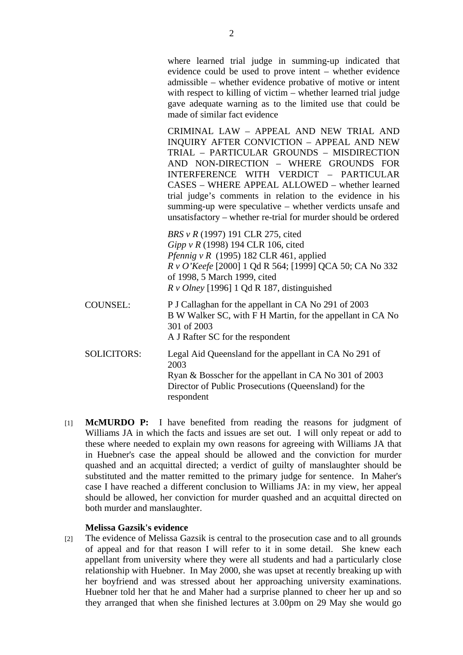where learned trial judge in summing-up indicated that evidence could be used to prove intent – whether evidence admissible – whether evidence probative of motive or intent with respect to killing of victim – whether learned trial judge gave adequate warning as to the limited use that could be made of similar fact evidence

CRIMINAL LAW – APPEAL AND NEW TRIAL AND INQUIRY AFTER CONVICTION – APPEAL AND NEW TRIAL – PARTICULAR GROUNDS – MISDIRECTION AND NON-DIRECTION – WHERE GROUNDS FOR INTERFERENCE WITH VERDICT – PARTICULAR CASES – WHERE APPEAL ALLOWED – whether learned trial judge's comments in relation to the evidence in his summing-up were speculative – whether verdicts unsafe and unsatisfactory – whether re-trial for murder should be ordered

*BRS v R* (1997) 191 CLR 275, cited *Gipp v R* (1998) 194 CLR 106, cited *Pfennig v R* (1995) 182 CLR 461, applied *R v O'Keefe* [2000] 1 Qd R 564; [1999] QCA 50; CA No 332 of 1998, 5 March 1999, cited *R v Olney* [1996] 1 Qd R 187, distinguished

COUNSEL: P J Callaghan for the appellant in CA No 291 of 2003 B W Walker SC, with F H Martin, for the appellant in CA No 301 of 2003 A J Rafter SC for the respondent SOLICITORS: Legal Aid Queensland for the appellant in CA No 291 of 2003 Ryan & Bosscher for the appellant in CA No 301 of 2003

Director of Public Prosecutions (Queensland) for the respondent

[1] **McMURDO P:** I have benefited from reading the reasons for judgment of Williams JA in which the facts and issues are set out. I will only repeat or add to these where needed to explain my own reasons for agreeing with Williams JA that in Huebner's case the appeal should be allowed and the conviction for murder quashed and an acquittal directed; a verdict of guilty of manslaughter should be substituted and the matter remitted to the primary judge for sentence. In Maher's case I have reached a different conclusion to Williams JA: in my view, her appeal should be allowed, her conviction for murder quashed and an acquittal directed on both murder and manslaughter.

## **Melissa Gazsik's evidence**

[2] The evidence of Melissa Gazsik is central to the prosecution case and to all grounds of appeal and for that reason I will refer to it in some detail. She knew each appellant from university where they were all students and had a particularly close relationship with Huebner. In May 2000, she was upset at recently breaking up with her boyfriend and was stressed about her approaching university examinations. Huebner told her that he and Maher had a surprise planned to cheer her up and so they arranged that when she finished lectures at 3.00pm on 29 May she would go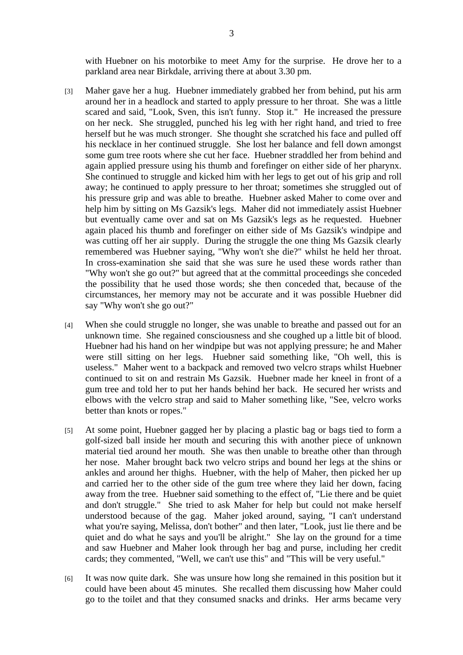with Huebner on his motorbike to meet Amy for the surprise. He drove her to a parkland area near Birkdale, arriving there at about 3.30 pm.

- [3] Maher gave her a hug. Huebner immediately grabbed her from behind, put his arm around her in a headlock and started to apply pressure to her throat. She was a little scared and said, "Look, Sven, this isn't funny. Stop it." He increased the pressure on her neck. She struggled, punched his leg with her right hand, and tried to free herself but he was much stronger. She thought she scratched his face and pulled off his necklace in her continued struggle. She lost her balance and fell down amongst some gum tree roots where she cut her face. Huebner straddled her from behind and again applied pressure using his thumb and forefinger on either side of her pharynx. She continued to struggle and kicked him with her legs to get out of his grip and roll away; he continued to apply pressure to her throat; sometimes she struggled out of his pressure grip and was able to breathe. Huebner asked Maher to come over and help him by sitting on Ms Gazsik's legs. Maher did not immediately assist Huebner but eventually came over and sat on Ms Gazsik's legs as he requested. Huebner again placed his thumb and forefinger on either side of Ms Gazsik's windpipe and was cutting off her air supply. During the struggle the one thing Ms Gazsik clearly remembered was Huebner saying, "Why won't she die?" whilst he held her throat. In cross-examination she said that she was sure he used these words rather than "Why won't she go out?" but agreed that at the committal proceedings she conceded the possibility that he used those words; she then conceded that, because of the circumstances, her memory may not be accurate and it was possible Huebner did say "Why won't she go out?"
- [4] When she could struggle no longer, she was unable to breathe and passed out for an unknown time. She regained consciousness and she coughed up a little bit of blood. Huebner had his hand on her windpipe but was not applying pressure; he and Maher were still sitting on her legs. Huebner said something like, "Oh well, this is useless." Maher went to a backpack and removed two velcro straps whilst Huebner continued to sit on and restrain Ms Gazsik. Huebner made her kneel in front of a gum tree and told her to put her hands behind her back. He secured her wrists and elbows with the velcro strap and said to Maher something like, "See, velcro works better than knots or ropes."
- [5] At some point, Huebner gagged her by placing a plastic bag or bags tied to form a golf-sized ball inside her mouth and securing this with another piece of unknown material tied around her mouth. She was then unable to breathe other than through her nose. Maher brought back two velcro strips and bound her legs at the shins or ankles and around her thighs. Huebner, with the help of Maher, then picked her up and carried her to the other side of the gum tree where they laid her down, facing away from the tree. Huebner said something to the effect of, "Lie there and be quiet and don't struggle." She tried to ask Maher for help but could not make herself understood because of the gag. Maher joked around, saying, "I can't understand what you're saying, Melissa, don't bother" and then later, "Look, just lie there and be quiet and do what he says and you'll be alright." She lay on the ground for a time and saw Huebner and Maher look through her bag and purse, including her credit cards; they commented, "Well, we can't use this" and "This will be very useful."
- [6] It was now quite dark. She was unsure how long she remained in this position but it could have been about 45 minutes. She recalled them discussing how Maher could go to the toilet and that they consumed snacks and drinks. Her arms became very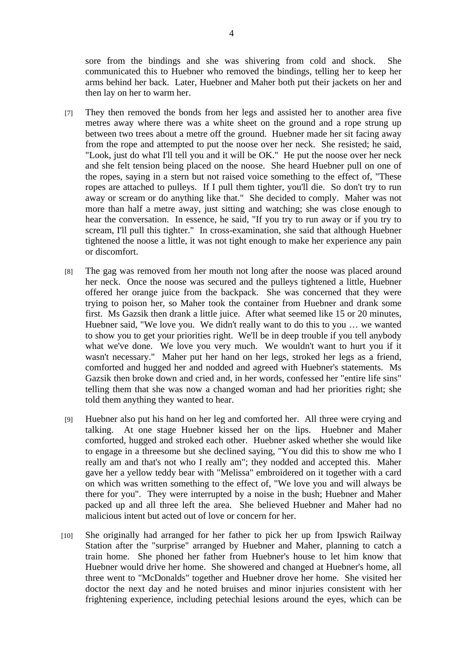sore from the bindings and she was shivering from cold and shock. She communicated this to Huebner who removed the bindings, telling her to keep her arms behind her back. Later, Huebner and Maher both put their jackets on her and then lay on her to warm her.

- [7] They then removed the bonds from her legs and assisted her to another area five metres away where there was a white sheet on the ground and a rope strung up between two trees about a metre off the ground. Huebner made her sit facing away from the rope and attempted to put the noose over her neck. She resisted; he said, "Look, just do what I'll tell you and it will be OK." He put the noose over her neck and she felt tension being placed on the noose. She heard Huebner pull on one of the ropes, saying in a stern but not raised voice something to the effect of, "These ropes are attached to pulleys. If I pull them tighter, you'll die. So don't try to run away or scream or do anything like that." She decided to comply. Maher was not more than half a metre away, just sitting and watching; she was close enough to hear the conversation. In essence, he said, "If you try to run away or if you try to scream, I'll pull this tighter." In cross-examination, she said that although Huebner tightened the noose a little, it was not tight enough to make her experience any pain or discomfort.
- [8] The gag was removed from her mouth not long after the noose was placed around her neck. Once the noose was secured and the pulleys tightened a little, Huebner offered her orange juice from the backpack. She was concerned that they were trying to poison her, so Maher took the container from Huebner and drank some first. Ms Gazsik then drank a little juice. After what seemed like 15 or 20 minutes, Huebner said, "We love you. We didn't really want to do this to you … we wanted to show you to get your priorities right. We'll be in deep trouble if you tell anybody what we've done. We love you very much. We wouldn't want to hurt you if it wasn't necessary." Maher put her hand on her legs, stroked her legs as a friend, comforted and hugged her and nodded and agreed with Huebner's statements. Ms Gazsik then broke down and cried and, in her words, confessed her "entire life sins" telling them that she was now a changed woman and had her priorities right; she told them anything they wanted to hear.
- [9] Huebner also put his hand on her leg and comforted her. All three were crying and talking. At one stage Huebner kissed her on the lips. Huebner and Maher comforted, hugged and stroked each other. Huebner asked whether she would like to engage in a threesome but she declined saying, "You did this to show me who I really am and that's not who I really am"; they nodded and accepted this. Maher gave her a yellow teddy bear with "Melissa" embroidered on it together with a card on which was written something to the effect of, "We love you and will always be there for you". They were interrupted by a noise in the bush; Huebner and Maher packed up and all three left the area. She believed Huebner and Maher had no malicious intent but acted out of love or concern for her.
- [10] She originally had arranged for her father to pick her up from Ipswich Railway Station after the "surprise" arranged by Huebner and Maher, planning to catch a train home. She phoned her father from Huebner's house to let him know that Huebner would drive her home. She showered and changed at Huebner's home, all three went to "McDonalds" together and Huebner drove her home. She visited her doctor the next day and he noted bruises and minor injuries consistent with her frightening experience, including petechial lesions around the eyes, which can be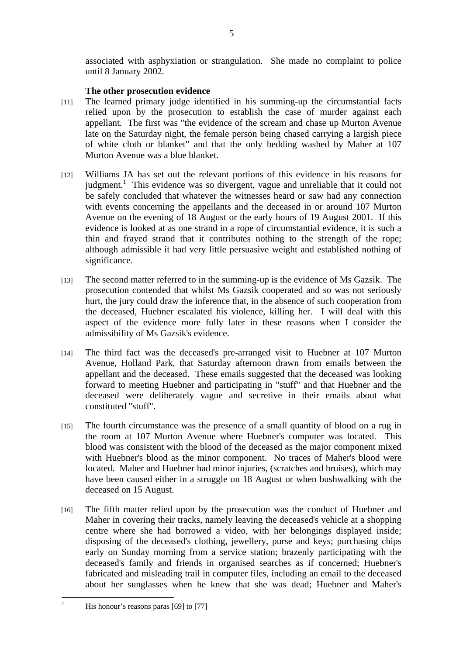associated with asphyxiation or strangulation. She made no complaint to police until 8 January 2002.

## **The other prosecution evidence**

- [11] The learned primary judge identified in his summing-up the circumstantial facts relied upon by the prosecution to establish the case of murder against each appellant. The first was "the evidence of the scream and chase up Murton Avenue late on the Saturday night, the female person being chased carrying a largish piece of white cloth or blanket" and that the only bedding washed by Maher at 107 Murton Avenue was a blue blanket.
- [12] Williams JA has set out the relevant portions of this evidence in his reasons for judgment.<sup>1</sup> This evidence was so divergent, vague and unreliable that it could not be safely concluded that whatever the witnesses heard or saw had any connection with events concerning the appellants and the deceased in or around 107 Murton Avenue on the evening of 18 August or the early hours of 19 August 2001. If this evidence is looked at as one strand in a rope of circumstantial evidence, it is such a thin and frayed strand that it contributes nothing to the strength of the rope; although admissible it had very little persuasive weight and established nothing of significance.
- [13] The second matter referred to in the summing-up is the evidence of Ms Gazsik. The prosecution contended that whilst Ms Gazsik cooperated and so was not seriously hurt, the jury could draw the inference that, in the absence of such cooperation from the deceased, Huebner escalated his violence, killing her. I will deal with this aspect of the evidence more fully later in these reasons when I consider the admissibility of Ms Gazsik's evidence.
- [14] The third fact was the deceased's pre-arranged visit to Huebner at 107 Murton Avenue, Holland Park, that Saturday afternoon drawn from emails between the appellant and the deceased. These emails suggested that the deceased was looking forward to meeting Huebner and participating in "stuff" and that Huebner and the deceased were deliberately vague and secretive in their emails about what constituted "stuff".
- [15] The fourth circumstance was the presence of a small quantity of blood on a rug in the room at 107 Murton Avenue where Huebner's computer was located. This blood was consistent with the blood of the deceased as the major component mixed with Huebner's blood as the minor component. No traces of Maher's blood were located. Maher and Huebner had minor injuries, (scratches and bruises), which may have been caused either in a struggle on 18 August or when bushwalking with the deceased on 15 August.
- [16] The fifth matter relied upon by the prosecution was the conduct of Huebner and Maher in covering their tracks, namely leaving the deceased's vehicle at a shopping centre where she had borrowed a video, with her belongings displayed inside; disposing of the deceased's clothing, jewellery, purse and keys; purchasing chips early on Sunday morning from a service station; brazenly participating with the deceased's family and friends in organised searches as if concerned; Huebner's fabricated and misleading trail in computer files, including an email to the deceased about her sunglasses when he knew that she was dead; Huebner and Maher's

 $\frac{1}{1}$ 

His honour's reasons paras [69] to [77]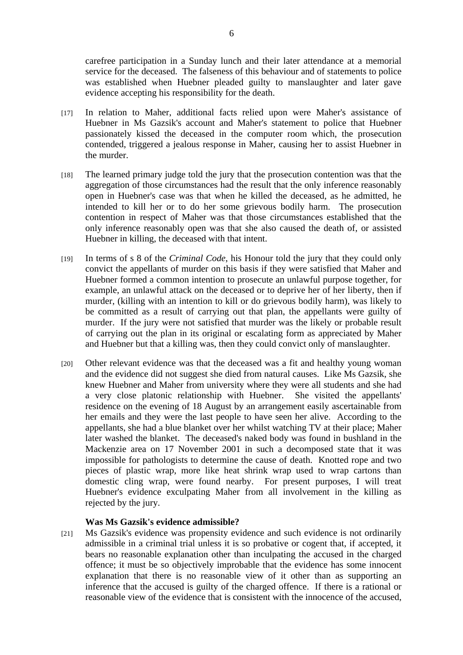carefree participation in a Sunday lunch and their later attendance at a memorial service for the deceased. The falseness of this behaviour and of statements to police was established when Huebner pleaded guilty to manslaughter and later gave evidence accepting his responsibility for the death.

- [17] In relation to Maher, additional facts relied upon were Maher's assistance of Huebner in Ms Gazsik's account and Maher's statement to police that Huebner passionately kissed the deceased in the computer room which, the prosecution contended, triggered a jealous response in Maher, causing her to assist Huebner in the murder.
- [18] The learned primary judge told the jury that the prosecution contention was that the aggregation of those circumstances had the result that the only inference reasonably open in Huebner's case was that when he killed the deceased, as he admitted, he intended to kill her or to do her some grievous bodily harm. The prosecution contention in respect of Maher was that those circumstances established that the only inference reasonably open was that she also caused the death of, or assisted Huebner in killing, the deceased with that intent.
- [19] In terms of s 8 of the *Criminal Code*, his Honour told the jury that they could only convict the appellants of murder on this basis if they were satisfied that Maher and Huebner formed a common intention to prosecute an unlawful purpose together, for example, an unlawful attack on the deceased or to deprive her of her liberty, then if murder, (killing with an intention to kill or do grievous bodily harm), was likely to be committed as a result of carrying out that plan, the appellants were guilty of murder. If the jury were not satisfied that murder was the likely or probable result of carrying out the plan in its original or escalating form as appreciated by Maher and Huebner but that a killing was, then they could convict only of manslaughter.
- [20] Other relevant evidence was that the deceased was a fit and healthy young woman and the evidence did not suggest she died from natural causes. Like Ms Gazsik, she knew Huebner and Maher from university where they were all students and she had a very close platonic relationship with Huebner. She visited the appellants' residence on the evening of 18 August by an arrangement easily ascertainable from her emails and they were the last people to have seen her alive. According to the appellants, she had a blue blanket over her whilst watching TV at their place; Maher later washed the blanket. The deceased's naked body was found in bushland in the Mackenzie area on 17 November 2001 in such a decomposed state that it was impossible for pathologists to determine the cause of death. Knotted rope and two pieces of plastic wrap, more like heat shrink wrap used to wrap cartons than domestic cling wrap, were found nearby. For present purposes, I will treat Huebner's evidence exculpating Maher from all involvement in the killing as rejected by the jury.

## **Was Ms Gazsik's evidence admissible?**

[21] Ms Gazsik's evidence was propensity evidence and such evidence is not ordinarily admissible in a criminal trial unless it is so probative or cogent that, if accepted, it bears no reasonable explanation other than inculpating the accused in the charged offence; it must be so objectively improbable that the evidence has some innocent explanation that there is no reasonable view of it other than as supporting an inference that the accused is guilty of the charged offence. If there is a rational or reasonable view of the evidence that is consistent with the innocence of the accused,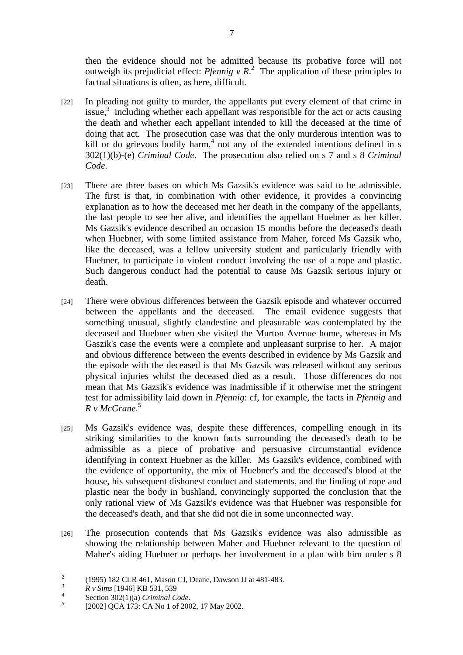then the evidence should not be admitted because its probative force will not outweigh its prejudicial effect: *Pfennig v R*<sup>2</sup> The application of these principles to factual situations is often, as here, difficult.

- [22] In pleading not guilty to murder, the appellants put every element of that crime in issue,<sup>3</sup> including whether each appellant was responsible for the act or acts causing the death and whether each appellant intended to kill the deceased at the time of doing that act. The prosecution case was that the only murderous intention was to kill or do grievous bodily harm,<sup>4</sup> not any of the extended intentions defined in s 302(1)(b)-(e) *Criminal Code*. The prosecution also relied on s 7 and s 8 *Criminal Code*.
- [23] There are three bases on which Ms Gazsik's evidence was said to be admissible. The first is that, in combination with other evidence, it provides a convincing explanation as to how the deceased met her death in the company of the appellants, the last people to see her alive, and identifies the appellant Huebner as her killer. Ms Gazsik's evidence described an occasion 15 months before the deceased's death when Huebner, with some limited assistance from Maher, forced Ms Gazsik who, like the deceased, was a fellow university student and particularly friendly with Huebner, to participate in violent conduct involving the use of a rope and plastic. Such dangerous conduct had the potential to cause Ms Gazsik serious injury or death.
- [24] There were obvious differences between the Gazsik episode and whatever occurred between the appellants and the deceased. The email evidence suggests that something unusual, slightly clandestine and pleasurable was contemplated by the deceased and Huebner when she visited the Murton Avenue home, whereas in Ms Gaszik's case the events were a complete and unpleasant surprise to her. A major and obvious difference between the events described in evidence by Ms Gazsik and the episode with the deceased is that Ms Gazsik was released without any serious physical injuries whilst the deceased died as a result. Those differences do not mean that Ms Gazsik's evidence was inadmissible if it otherwise met the stringent test for admissibility laid down in *Pfennig*: cf, for example, the facts in *Pfennig* and *R v McGrane*. 5
- [25] Ms Gazsik's evidence was, despite these differences, compelling enough in its striking similarities to the known facts surrounding the deceased's death to be admissible as a piece of probative and persuasive circumstantial evidence identifying in context Huebner as the killer. Ms Gazsik's evidence, combined with the evidence of opportunity, the mix of Huebner's and the deceased's blood at the house, his subsequent dishonest conduct and statements, and the finding of rope and plastic near the body in bushland, convincingly supported the conclusion that the only rational view of Ms Gazsik's evidence was that Huebner was responsible for the deceased's death, and that she did not die in some unconnected way.
- [26] The prosecution contends that Ms Gazsik's evidence was also admissible as showing the relationship between Maher and Huebner relevant to the question of Maher's aiding Huebner or perhaps her involvement in a plan with him under s 8

 $\frac{1}{2}$ (1995) 182 CLR 461, Mason CJ, Deane, Dawson JJ at 481-483.

<sup>3</sup> <sup>3</sup> *R v Sims* [1946] KB 531, 539

<sup>&</sup>lt;sup>4</sup> Section 302(1)(a) *Criminal Code*.

<sup>[2002]</sup> QCA 173; CA No 1 of 2002, 17 May 2002.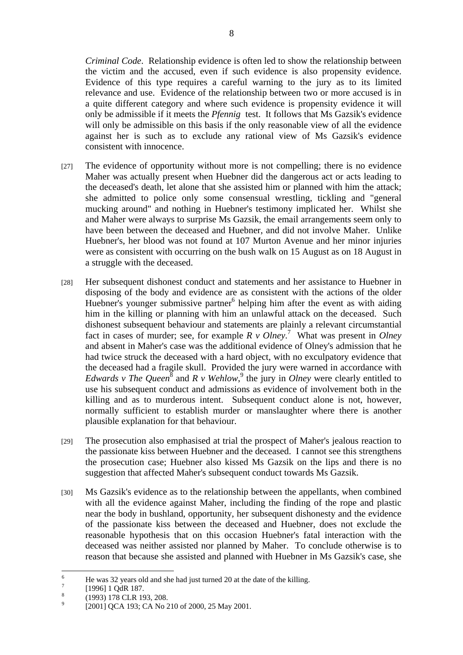*Criminal Code*. Relationship evidence is often led to show the relationship between the victim and the accused, even if such evidence is also propensity evidence. Evidence of this type requires a careful warning to the jury as to its limited relevance and use. Evidence of the relationship between two or more accused is in a quite different category and where such evidence is propensity evidence it will only be admissible if it meets the *Pfennig* test. It follows that Ms Gazsik's evidence will only be admissible on this basis if the only reasonable view of all the evidence against her is such as to exclude any rational view of Ms Gazsik's evidence consistent with innocence.

- [27] The evidence of opportunity without more is not compelling; there is no evidence Maher was actually present when Huebner did the dangerous act or acts leading to the deceased's death, let alone that she assisted him or planned with him the attack; she admitted to police only some consensual wrestling, tickling and "general mucking around" and nothing in Huebner's testimony implicated her. Whilst she and Maher were always to surprise Ms Gazsik, the email arrangements seem only to have been between the deceased and Huebner, and did not involve Maher. Unlike Huebner's, her blood was not found at 107 Murton Avenue and her minor injuries were as consistent with occurring on the bush walk on 15 August as on 18 August in a struggle with the deceased.
- [28] Her subsequent dishonest conduct and statements and her assistance to Huebner in disposing of the body and evidence are as consistent with the actions of the older Huebner's younger submissive partner<sup>6</sup> helping him after the event as with aiding him in the killing or planning with him an unlawful attack on the deceased. Such dishonest subsequent behaviour and statements are plainly a relevant circumstantial fact in cases of murder; see, for example  $R \vee Ohey^7$ . What was present in *Olney* and absent in Maher's case was the additional evidence of Olney's admission that he had twice struck the deceased with a hard object, with no exculpatory evidence that the deceased had a fragile skull. Provided the jury were warned in accordance with *Edwards v The Queen*<sup>8</sup> and *R v Wehlow*,<sup>9</sup> the jury in *Olney* were clearly entitled to use his subsequent conduct and admissions as evidence of involvement both in the killing and as to murderous intent. Subsequent conduct alone is not, however, normally sufficient to establish murder or manslaughter where there is another plausible explanation for that behaviour.
- [29] The prosecution also emphasised at trial the prospect of Maher's jealous reaction to the passionate kiss between Huebner and the deceased. I cannot see this strengthens the prosecution case; Huebner also kissed Ms Gazsik on the lips and there is no suggestion that affected Maher's subsequent conduct towards Ms Gazsik.
- [30] Ms Gazsik's evidence as to the relationship between the appellants, when combined with all the evidence against Maher, including the finding of the rope and plastic near the body in bushland, opportunity, her subsequent dishonesty and the evidence of the passionate kiss between the deceased and Huebner, does not exclude the reasonable hypothesis that on this occasion Huebner's fatal interaction with the deceased was neither assisted nor planned by Maher. To conclude otherwise is to reason that because she assisted and planned with Huebner in Ms Gazsik's case, she

 $\frac{1}{6}$ He was 32 years old and she had just turned 20 at the date of the killing.

<sup>7</sup> [1996] 1 QdR 187.

<sup>8</sup> (1993) 178 CLR 193, 208.

 $\alpha$ [2001] QCA 193; CA No 210 of 2000, 25 May 2001.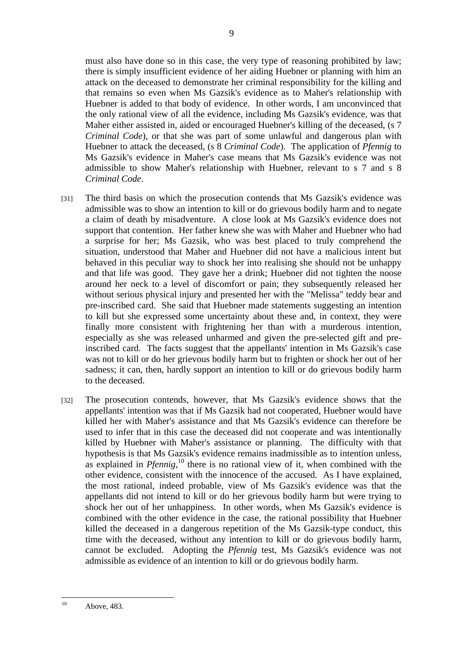must also have done so in this case, the very type of reasoning prohibited by law; there is simply insufficient evidence of her aiding Huebner or planning with him an attack on the deceased to demonstrate her criminal responsibility for the killing and that remains so even when Ms Gazsik's evidence as to Maher's relationship with Huebner is added to that body of evidence. In other words, I am unconvinced that the only rational view of all the evidence, including Ms Gazsik's evidence, was that Maher either assisted in, aided or encouraged Huebner's killing of the deceased, (s 7 *Criminal Code*), or that she was part of some unlawful and dangerous plan with Huebner to attack the deceased, (s 8 *Criminal Code*). The application of *Pfennig* to Ms Gazsik's evidence in Maher's case means that Ms Gazsik's evidence was not admissible to show Maher's relationship with Huebner, relevant to s 7 and s 8 *Criminal Code*.

- [31] The third basis on which the prosecution contends that Ms Gazsik's evidence was admissible was to show an intention to kill or do grievous bodily harm and to negate a claim of death by misadventure. A close look at Ms Gazsik's evidence does not support that contention. Her father knew she was with Maher and Huebner who had a surprise for her; Ms Gazsik, who was best placed to truly comprehend the situation, understood that Maher and Huebner did not have a malicious intent but behaved in this peculiar way to shock her into realising she should not be unhappy and that life was good. They gave her a drink; Huebner did not tighten the noose around her neck to a level of discomfort or pain; they subsequently released her without serious physical injury and presented her with the "Melissa" teddy bear and pre-inscribed card. She said that Huebner made statements suggesting an intention to kill but she expressed some uncertainty about these and, in context, they were finally more consistent with frightening her than with a murderous intention, especially as she was released unharmed and given the pre-selected gift and preinscribed card. The facts suggest that the appellants' intention in Ms Gazsik's case was not to kill or do her grievous bodily harm but to frighten or shock her out of her sadness; it can, then, hardly support an intention to kill or do grievous bodily harm to the deceased.
- [32] The prosecution contends, however, that Ms Gazsik's evidence shows that the appellants' intention was that if Ms Gazsik had not cooperated, Huebner would have killed her with Maher's assistance and that Ms Gazsik's evidence can therefore be used to infer that in this case the deceased did not cooperate and was intentionally killed by Huebner with Maher's assistance or planning. The difficulty with that hypothesis is that Ms Gazsik's evidence remains inadmissible as to intention unless, as explained in *Pfennig*<sup>10</sup> there is no rational view of it, when combined with the other evidence, consistent with the innocence of the accused. As I have explained, the most rational, indeed probable, view of Ms Gazsik's evidence was that the appellants did not intend to kill or do her grievous bodily harm but were trying to shock her out of her unhappiness. In other words, when Ms Gazsik's evidence is combined with the other evidence in the case, the rational possibility that Huebner killed the deceased in a dangerous repetition of the Ms Gazsik-type conduct, this time with the deceased, without any intention to kill or do grievous bodily harm, cannot be excluded. Adopting the *Pfennig* test, Ms Gazsik's evidence was not admissible as evidence of an intention to kill or do grievous bodily harm.

 $10<sup>1</sup>$ Above, 483.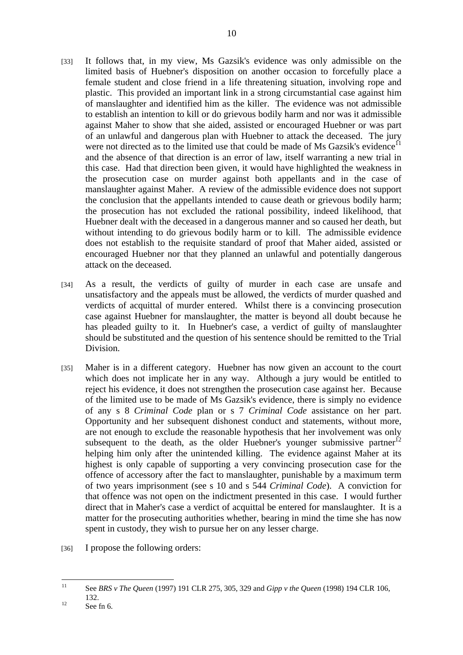- [33] It follows that, in my view, Ms Gazsik's evidence was only admissible on the limited basis of Huebner's disposition on another occasion to forcefully place a female student and close friend in a life threatening situation, involving rope and plastic. This provided an important link in a strong circumstantial case against him of manslaughter and identified him as the killer. The evidence was not admissible to establish an intention to kill or do grievous bodily harm and nor was it admissible against Maher to show that she aided, assisted or encouraged Huebner or was part of an unlawful and dangerous plan with Huebner to attack the deceased. The jury were not directed as to the limited use that could be made of Ms Gazsik's evidence<sup>11</sup> and the absence of that direction is an error of law, itself warranting a new trial in this case. Had that direction been given, it would have highlighted the weakness in the prosecution case on murder against both appellants and in the case of manslaughter against Maher. A review of the admissible evidence does not support the conclusion that the appellants intended to cause death or grievous bodily harm; the prosecution has not excluded the rational possibility, indeed likelihood, that Huebner dealt with the deceased in a dangerous manner and so caused her death, but without intending to do grievous bodily harm or to kill. The admissible evidence does not establish to the requisite standard of proof that Maher aided, assisted or encouraged Huebner nor that they planned an unlawful and potentially dangerous attack on the deceased.
- [34] As a result, the verdicts of guilty of murder in each case are unsafe and unsatisfactory and the appeals must be allowed, the verdicts of murder quashed and verdicts of acquittal of murder entered. Whilst there is a convincing prosecution case against Huebner for manslaughter, the matter is beyond all doubt because he has pleaded guilty to it. In Huebner's case, a verdict of guilty of manslaughter should be substituted and the question of his sentence should be remitted to the Trial Division.
- [35] Maher is in a different category. Huebner has now given an account to the court which does not implicate her in any way. Although a jury would be entitled to reject his evidence, it does not strengthen the prosecution case against her. Because of the limited use to be made of Ms Gazsik's evidence, there is simply no evidence of any s 8 *Criminal Code* plan or s 7 *Criminal Code* assistance on her part. Opportunity and her subsequent dishonest conduct and statements, without more, are not enough to exclude the reasonable hypothesis that her involvement was only subsequent to the death, as the older Huebner's younger submissive partner $^{12}$ helping him only after the unintended killing. The evidence against Maher at its highest is only capable of supporting a very convincing prosecution case for the offence of accessory after the fact to manslaughter, punishable by a maximum term of two years imprisonment (see s 10 and s 544 *Criminal Code*). A conviction for that offence was not open on the indictment presented in this case. I would further direct that in Maher's case a verdict of acquittal be entered for manslaughter. It is a matter for the prosecuting authorities whether, bearing in mind the time she has now spent in custody, they wish to pursue her on any lesser charge.
- [36] I propose the following orders:

 $11$ 11 See *BRS v The Queen* (1997) 191 CLR 275, 305, 329 and *Gipp v the Queen* (1998) 194 CLR 106,  $132.$  132.<br>See fn 6.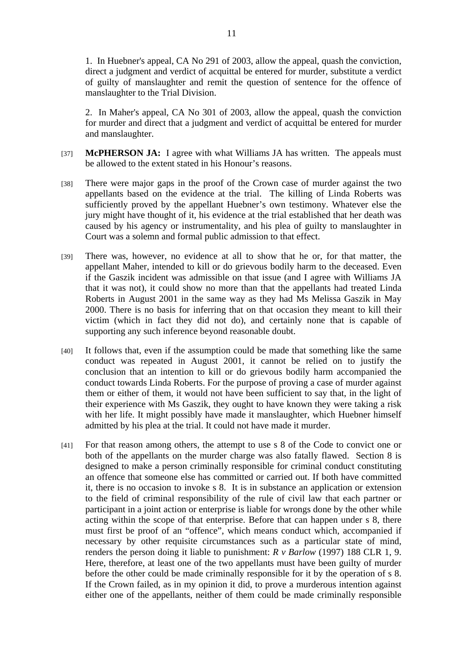1. In Huebner's appeal, CA No 291 of 2003, allow the appeal, quash the conviction, direct a judgment and verdict of acquittal be entered for murder, substitute a verdict of guilty of manslaughter and remit the question of sentence for the offence of manslaughter to the Trial Division.

2. In Maher's appeal, CA No 301 of 2003, allow the appeal, quash the conviction for murder and direct that a judgment and verdict of acquittal be entered for murder and manslaughter.

- [37] **McPHERSON JA:** I agree with what Williams JA has written. The appeals must be allowed to the extent stated in his Honour's reasons.
- [38] There were major gaps in the proof of the Crown case of murder against the two appellants based on the evidence at the trial. The killing of Linda Roberts was sufficiently proved by the appellant Huebner's own testimony. Whatever else the jury might have thought of it, his evidence at the trial established that her death was caused by his agency or instrumentality, and his plea of guilty to manslaughter in Court was a solemn and formal public admission to that effect.
- [39] There was, however, no evidence at all to show that he or, for that matter, the appellant Maher, intended to kill or do grievous bodily harm to the deceased. Even if the Gaszik incident was admissible on that issue (and I agree with Williams JA that it was not), it could show no more than that the appellants had treated Linda Roberts in August 2001 in the same way as they had Ms Melissa Gaszik in May 2000. There is no basis for inferring that on that occasion they meant to kill their victim (which in fact they did not do), and certainly none that is capable of supporting any such inference beyond reasonable doubt.
- [40] It follows that, even if the assumption could be made that something like the same conduct was repeated in August 2001, it cannot be relied on to justify the conclusion that an intention to kill or do grievous bodily harm accompanied the conduct towards Linda Roberts. For the purpose of proving a case of murder against them or either of them, it would not have been sufficient to say that, in the light of their experience with Ms Gaszik, they ought to have known they were taking a risk with her life. It might possibly have made it manslaughter, which Huebner himself admitted by his plea at the trial. It could not have made it murder.
- [41] For that reason among others, the attempt to use s 8 of the Code to convict one or both of the appellants on the murder charge was also fatally flawed. Section 8 is designed to make a person criminally responsible for criminal conduct constituting an offence that someone else has committed or carried out. If both have committed it, there is no occasion to invoke s 8. It is in substance an application or extension to the field of criminal responsibility of the rule of civil law that each partner or participant in a joint action or enterprise is liable for wrongs done by the other while acting within the scope of that enterprise. Before that can happen under s 8, there must first be proof of an "offence", which means conduct which, accompanied if necessary by other requisite circumstances such as a particular state of mind, renders the person doing it liable to punishment: *R v Barlow* (1997) 188 CLR 1, 9. Here, therefore, at least one of the two appellants must have been guilty of murder before the other could be made criminally responsible for it by the operation of s 8. If the Crown failed, as in my opinion it did, to prove a murderous intention against either one of the appellants, neither of them could be made criminally responsible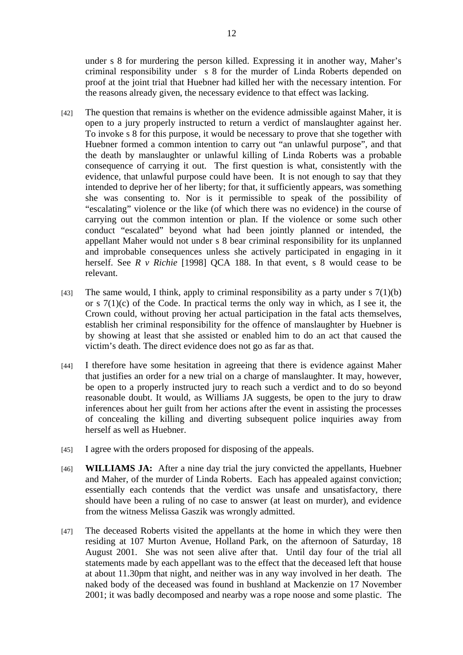under s 8 for murdering the person killed. Expressing it in another way, Maher's criminal responsibility under s 8 for the murder of Linda Roberts depended on proof at the joint trial that Huebner had killed her with the necessary intention. For the reasons already given, the necessary evidence to that effect was lacking.

- [42] The question that remains is whether on the evidence admissible against Maher, it is open to a jury properly instructed to return a verdict of manslaughter against her. To invoke s 8 for this purpose, it would be necessary to prove that she together with Huebner formed a common intention to carry out "an unlawful purpose", and that the death by manslaughter or unlawful killing of Linda Roberts was a probable consequence of carrying it out. The first question is what, consistently with the evidence, that unlawful purpose could have been. It is not enough to say that they intended to deprive her of her liberty; for that, it sufficiently appears, was something she was consenting to. Nor is it permissible to speak of the possibility of "escalating" violence or the like (of which there was no evidence) in the course of carrying out the common intention or plan. If the violence or some such other conduct "escalated" beyond what had been jointly planned or intended, the appellant Maher would not under s 8 bear criminal responsibility for its unplanned and improbable consequences unless she actively participated in engaging in it herself. See *R v Richie* [1998] QCA 188. In that event, s 8 would cease to be relevant.
- [43] The same would, I think, apply to criminal responsibility as a party under s  $7(1)(b)$ or s  $7(1)(c)$  of the Code. In practical terms the only way in which, as I see it, the Crown could, without proving her actual participation in the fatal acts themselves, establish her criminal responsibility for the offence of manslaughter by Huebner is by showing at least that she assisted or enabled him to do an act that caused the victim's death. The direct evidence does not go as far as that.
- [44] I therefore have some hesitation in agreeing that there is evidence against Maher that justifies an order for a new trial on a charge of manslaughter. It may, however, be open to a properly instructed jury to reach such a verdict and to do so beyond reasonable doubt. It would, as Williams JA suggests, be open to the jury to draw inferences about her guilt from her actions after the event in assisting the processes of concealing the killing and diverting subsequent police inquiries away from herself as well as Huebner.
- [45] I agree with the orders proposed for disposing of the appeals.
- [46] **WILLIAMS JA:** After a nine day trial the jury convicted the appellants, Huebner and Maher, of the murder of Linda Roberts. Each has appealed against conviction; essentially each contends that the verdict was unsafe and unsatisfactory, there should have been a ruling of no case to answer (at least on murder), and evidence from the witness Melissa Gaszik was wrongly admitted.
- [47] The deceased Roberts visited the appellants at the home in which they were then residing at 107 Murton Avenue, Holland Park, on the afternoon of Saturday, 18 August 2001. She was not seen alive after that. Until day four of the trial all statements made by each appellant was to the effect that the deceased left that house at about 11.30pm that night, and neither was in any way involved in her death. The naked body of the deceased was found in bushland at Mackenzie on 17 November 2001; it was badly decomposed and nearby was a rope noose and some plastic. The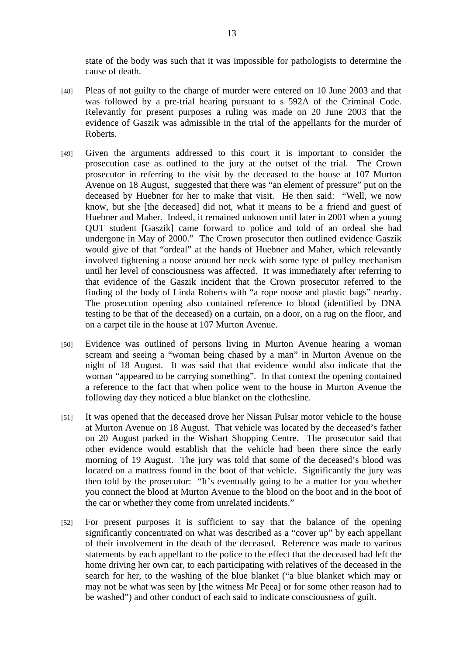state of the body was such that it was impossible for pathologists to determine the cause of death.

- [48] Pleas of not guilty to the charge of murder were entered on 10 June 2003 and that was followed by a pre-trial hearing pursuant to s 592A of the Criminal Code. Relevantly for present purposes a ruling was made on 20 June 2003 that the evidence of Gaszik was admissible in the trial of the appellants for the murder of Roberts.
- [49] Given the arguments addressed to this court it is important to consider the prosecution case as outlined to the jury at the outset of the trial. The Crown prosecutor in referring to the visit by the deceased to the house at 107 Murton Avenue on 18 August, suggested that there was "an element of pressure" put on the deceased by Huebner for her to make that visit. He then said: "Well, we now know, but she [the deceased] did not, what it means to be a friend and guest of Huebner and Maher. Indeed, it remained unknown until later in 2001 when a young QUT student [Gaszik] came forward to police and told of an ordeal she had undergone in May of 2000." The Crown prosecutor then outlined evidence Gaszik would give of that "ordeal" at the hands of Huebner and Maher, which relevantly involved tightening a noose around her neck with some type of pulley mechanism until her level of consciousness was affected. It was immediately after referring to that evidence of the Gaszik incident that the Crown prosecutor referred to the finding of the body of Linda Roberts with "a rope noose and plastic bags" nearby. The prosecution opening also contained reference to blood (identified by DNA testing to be that of the deceased) on a curtain, on a door, on a rug on the floor, and on a carpet tile in the house at 107 Murton Avenue.
- [50] Evidence was outlined of persons living in Murton Avenue hearing a woman scream and seeing a "woman being chased by a man" in Murton Avenue on the night of 18 August. It was said that that evidence would also indicate that the woman "appeared to be carrying something". In that context the opening contained a reference to the fact that when police went to the house in Murton Avenue the following day they noticed a blue blanket on the clothesline.
- [51] It was opened that the deceased drove her Nissan Pulsar motor vehicle to the house at Murton Avenue on 18 August. That vehicle was located by the deceased's father on 20 August parked in the Wishart Shopping Centre. The prosecutor said that other evidence would establish that the vehicle had been there since the early morning of 19 August. The jury was told that some of the deceased's blood was located on a mattress found in the boot of that vehicle. Significantly the jury was then told by the prosecutor: "It's eventually going to be a matter for you whether you connect the blood at Murton Avenue to the blood on the boot and in the boot of the car or whether they come from unrelated incidents."
- [52] For present purposes it is sufficient to say that the balance of the opening significantly concentrated on what was described as a "cover up" by each appellant of their involvement in the death of the deceased. Reference was made to various statements by each appellant to the police to the effect that the deceased had left the home driving her own car, to each participating with relatives of the deceased in the search for her, to the washing of the blue blanket ("a blue blanket which may or may not be what was seen by [the witness Mr Peea] or for some other reason had to be washed") and other conduct of each said to indicate consciousness of guilt.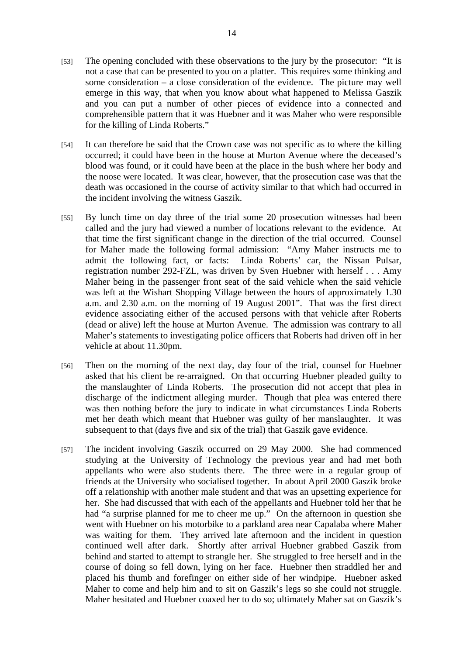- [53] The opening concluded with these observations to the jury by the prosecutor: "It is not a case that can be presented to you on a platter. This requires some thinking and some consideration – a close consideration of the evidence. The picture may well emerge in this way, that when you know about what happened to Melissa Gaszik and you can put a number of other pieces of evidence into a connected and comprehensible pattern that it was Huebner and it was Maher who were responsible for the killing of Linda Roberts."
- [54] It can therefore be said that the Crown case was not specific as to where the killing occurred; it could have been in the house at Murton Avenue where the deceased's blood was found, or it could have been at the place in the bush where her body and the noose were located. It was clear, however, that the prosecution case was that the death was occasioned in the course of activity similar to that which had occurred in the incident involving the witness Gaszik.
- [55] By lunch time on day three of the trial some 20 prosecution witnesses had been called and the jury had viewed a number of locations relevant to the evidence. At that time the first significant change in the direction of the trial occurred. Counsel for Maher made the following formal admission: "Amy Maher instructs me to admit the following fact, or facts: Linda Roberts' car, the Nissan Pulsar, registration number 292-FZL, was driven by Sven Huebner with herself . . . Amy Maher being in the passenger front seat of the said vehicle when the said vehicle was left at the Wishart Shopping Village between the hours of approximately 1.30 a.m. and 2.30 a.m. on the morning of 19 August 2001". That was the first direct evidence associating either of the accused persons with that vehicle after Roberts (dead or alive) left the house at Murton Avenue. The admission was contrary to all Maher's statements to investigating police officers that Roberts had driven off in her vehicle at about 11.30pm.
- [56] Then on the morning of the next day, day four of the trial, counsel for Huebner asked that his client be re-arraigned. On that occurring Huebner pleaded guilty to the manslaughter of Linda Roberts. The prosecution did not accept that plea in discharge of the indictment alleging murder. Though that plea was entered there was then nothing before the jury to indicate in what circumstances Linda Roberts met her death which meant that Huebner was guilty of her manslaughter. It was subsequent to that (days five and six of the trial) that Gaszik gave evidence.
- [57] The incident involving Gaszik occurred on 29 May 2000. She had commenced studying at the University of Technology the previous year and had met both appellants who were also students there. The three were in a regular group of friends at the University who socialised together. In about April 2000 Gaszik broke off a relationship with another male student and that was an upsetting experience for her. She had discussed that with each of the appellants and Huebner told her that he had "a surprise planned for me to cheer me up." On the afternoon in question she went with Huebner on his motorbike to a parkland area near Capalaba where Maher was waiting for them. They arrived late afternoon and the incident in question continued well after dark. Shortly after arrival Huebner grabbed Gaszik from behind and started to attempt to strangle her. She struggled to free herself and in the course of doing so fell down, lying on her face. Huebner then straddled her and placed his thumb and forefinger on either side of her windpipe. Huebner asked Maher to come and help him and to sit on Gaszik's legs so she could not struggle. Maher hesitated and Huebner coaxed her to do so; ultimately Maher sat on Gaszik's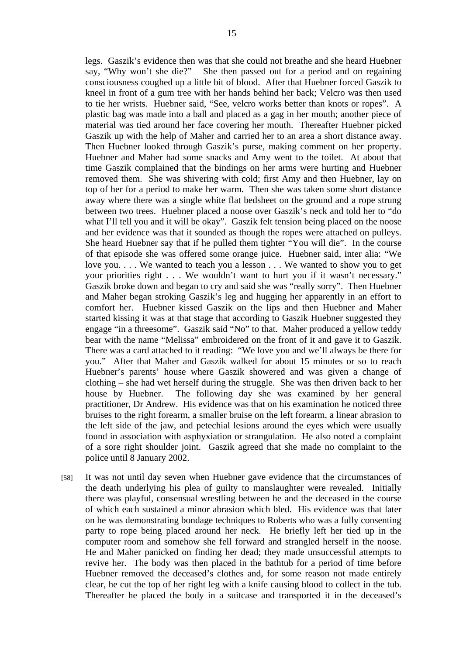legs. Gaszik's evidence then was that she could not breathe and she heard Huebner say, "Why won't she die?" She then passed out for a period and on regaining consciousness coughed up a little bit of blood. After that Huebner forced Gaszik to kneel in front of a gum tree with her hands behind her back; Velcro was then used to tie her wrists. Huebner said, "See, velcro works better than knots or ropes". A plastic bag was made into a ball and placed as a gag in her mouth; another piece of material was tied around her face covering her mouth. Thereafter Huebner picked Gaszik up with the help of Maher and carried her to an area a short distance away. Then Huebner looked through Gaszik's purse, making comment on her property. Huebner and Maher had some snacks and Amy went to the toilet. At about that time Gaszik complained that the bindings on her arms were hurting and Huebner removed them. She was shivering with cold; first Amy and then Huebner, lay on top of her for a period to make her warm. Then she was taken some short distance away where there was a single white flat bedsheet on the ground and a rope strung between two trees. Huebner placed a noose over Gaszik's neck and told her to "do what I'll tell you and it will be okay". Gaszik felt tension being placed on the noose and her evidence was that it sounded as though the ropes were attached on pulleys. She heard Huebner say that if he pulled them tighter "You will die". In the course of that episode she was offered some orange juice. Huebner said, inter alia: "We love you. . . . We wanted to teach you a lesson . . . We wanted to show you to get your priorities right . . . We wouldn't want to hurt you if it wasn't necessary." Gaszik broke down and began to cry and said she was "really sorry". Then Huebner and Maher began stroking Gaszik's leg and hugging her apparently in an effort to comfort her. Huebner kissed Gaszik on the lips and then Huebner and Maher started kissing it was at that stage that according to Gaszik Huebner suggested they engage "in a threesome". Gaszik said "No" to that. Maher produced a yellow teddy bear with the name "Melissa" embroidered on the front of it and gave it to Gaszik. There was a card attached to it reading: "We love you and we'll always be there for you." After that Maher and Gaszik walked for about 15 minutes or so to reach Huebner's parents' house where Gaszik showered and was given a change of clothing – she had wet herself during the struggle. She was then driven back to her house by Huebner. The following day she was examined by her general practitioner, Dr Andrew. His evidence was that on his examination he noticed three bruises to the right forearm, a smaller bruise on the left forearm, a linear abrasion to the left side of the jaw, and petechial lesions around the eyes which were usually found in association with asphyxiation or strangulation. He also noted a complaint of a sore right shoulder joint. Gaszik agreed that she made no complaint to the police until 8 January 2002.

[58] It was not until day seven when Huebner gave evidence that the circumstances of the death underlying his plea of guilty to manslaughter were revealed. Initially there was playful, consensual wrestling between he and the deceased in the course of which each sustained a minor abrasion which bled. His evidence was that later on he was demonstrating bondage techniques to Roberts who was a fully consenting party to rope being placed around her neck. He briefly left her tied up in the computer room and somehow she fell forward and strangled herself in the noose. He and Maher panicked on finding her dead; they made unsuccessful attempts to revive her. The body was then placed in the bathtub for a period of time before Huebner removed the deceased's clothes and, for some reason not made entirely clear, he cut the top of her right leg with a knife causing blood to collect in the tub. Thereafter he placed the body in a suitcase and transported it in the deceased's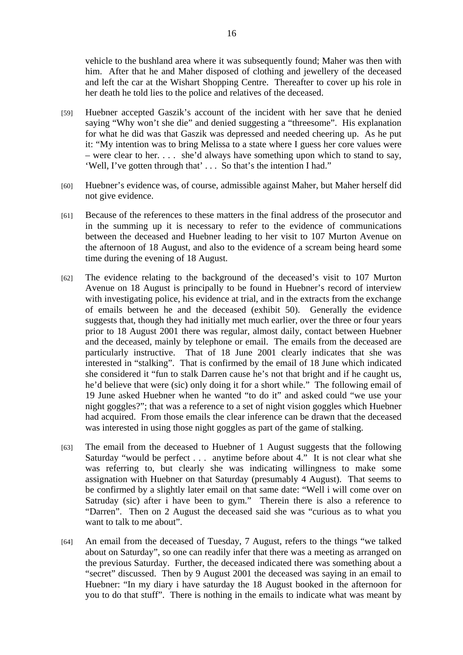vehicle to the bushland area where it was subsequently found; Maher was then with him. After that he and Maher disposed of clothing and jewellery of the deceased and left the car at the Wishart Shopping Centre. Thereafter to cover up his role in her death he told lies to the police and relatives of the deceased.

- [59] Huebner accepted Gaszik's account of the incident with her save that he denied saying "Why won't she die" and denied suggesting a "threesome". His explanation for what he did was that Gaszik was depressed and needed cheering up. As he put it: "My intention was to bring Melissa to a state where I guess her core values were – were clear to her. . . . she'd always have something upon which to stand to say, 'Well, I've gotten through that' . . . So that's the intention I had."
- [60] Huebner's evidence was, of course, admissible against Maher, but Maher herself did not give evidence.
- [61] Because of the references to these matters in the final address of the prosecutor and in the summing up it is necessary to refer to the evidence of communications between the deceased and Huebner leading to her visit to 107 Murton Avenue on the afternoon of 18 August, and also to the evidence of a scream being heard some time during the evening of 18 August.
- [62] The evidence relating to the background of the deceased's visit to 107 Murton Avenue on 18 August is principally to be found in Huebner's record of interview with investigating police, his evidence at trial, and in the extracts from the exchange of emails between he and the deceased (exhibit 50). Generally the evidence suggests that, though they had initially met much earlier, over the three or four years prior to 18 August 2001 there was regular, almost daily, contact between Huebner and the deceased, mainly by telephone or email. The emails from the deceased are particularly instructive. That of 18 June 2001 clearly indicates that she was interested in "stalking". That is confirmed by the email of 18 June which indicated she considered it "fun to stalk Darren cause he's not that bright and if he caught us, he'd believe that were (sic) only doing it for a short while." The following email of 19 June asked Huebner when he wanted "to do it" and asked could "we use your night goggles?"; that was a reference to a set of night vision goggles which Huebner had acquired. From those emails the clear inference can be drawn that the deceased was interested in using those night goggles as part of the game of stalking.
- [63] The email from the deceased to Huebner of 1 August suggests that the following Saturday "would be perfect . . . anytime before about 4." It is not clear what she was referring to, but clearly she was indicating willingness to make some assignation with Huebner on that Saturday (presumably 4 August). That seems to be confirmed by a slightly later email on that same date: "Well i will come over on Satruday (sic) after i have been to gym." Therein there is also a reference to "Darren". Then on 2 August the deceased said she was "curious as to what you want to talk to me about".
- [64] An email from the deceased of Tuesday, 7 August, refers to the things "we talked about on Saturday", so one can readily infer that there was a meeting as arranged on the previous Saturday. Further, the deceased indicated there was something about a "secret" discussed. Then by 9 August 2001 the deceased was saying in an email to Huebner: "In my diary i have saturday the 18 August booked in the afternoon for you to do that stuff". There is nothing in the emails to indicate what was meant by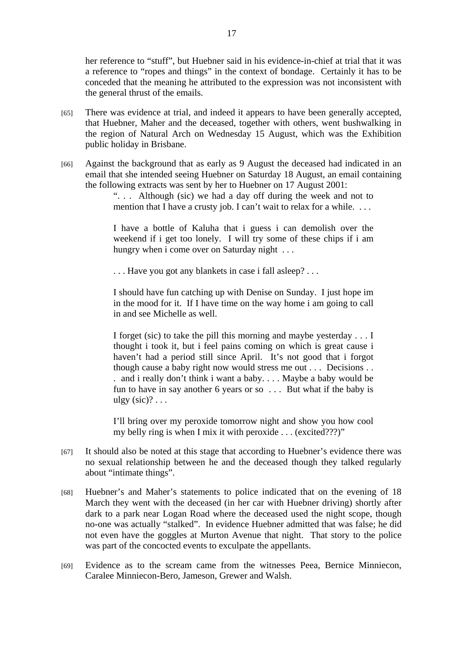her reference to "stuff", but Huebner said in his evidence-in-chief at trial that it was a reference to "ropes and things" in the context of bondage. Certainly it has to be conceded that the meaning he attributed to the expression was not inconsistent with the general thrust of the emails.

- [65] There was evidence at trial, and indeed it appears to have been generally accepted, that Huebner, Maher and the deceased, together with others, went bushwalking in the region of Natural Arch on Wednesday 15 August, which was the Exhibition public holiday in Brisbane.
- [66] Against the background that as early as 9 August the deceased had indicated in an email that she intended seeing Huebner on Saturday 18 August, an email containing the following extracts was sent by her to Huebner on 17 August 2001:

". . . Although (sic) we had a day off during the week and not to mention that I have a crusty job. I can't wait to relax for a while. ...

I have a bottle of Kaluha that i guess i can demolish over the weekend if i get too lonely. I will try some of these chips if i am hungry when i come over on Saturday night ...

. . . Have you got any blankets in case i fall asleep? . . .

I should have fun catching up with Denise on Sunday. I just hope im in the mood for it. If I have time on the way home i am going to call in and see Michelle as well.

I forget (sic) to take the pill this morning and maybe yesterday . . . I thought i took it, but i feel pains coming on which is great cause i haven't had a period still since April. It's not good that i forgot though cause a baby right now would stress me out . . . Decisions . . . and i really don't think i want a baby. . . . Maybe a baby would be fun to have in say another 6 years or so . . . But what if the baby is ulgy  $(sic)$ ? . . .

I'll bring over my peroxide tomorrow night and show you how cool my belly ring is when I mix it with peroxide . . . (excited???)"

- [67] It should also be noted at this stage that according to Huebner's evidence there was no sexual relationship between he and the deceased though they talked regularly about "intimate things".
- [68] Huebner's and Maher's statements to police indicated that on the evening of 18 March they went with the deceased (in her car with Huebner driving) shortly after dark to a park near Logan Road where the deceased used the night scope, though no-one was actually "stalked". In evidence Huebner admitted that was false; he did not even have the goggles at Murton Avenue that night. That story to the police was part of the concocted events to exculpate the appellants.
- [69] Evidence as to the scream came from the witnesses Peea, Bernice Minniecon, Caralee Minniecon-Bero, Jameson, Grewer and Walsh.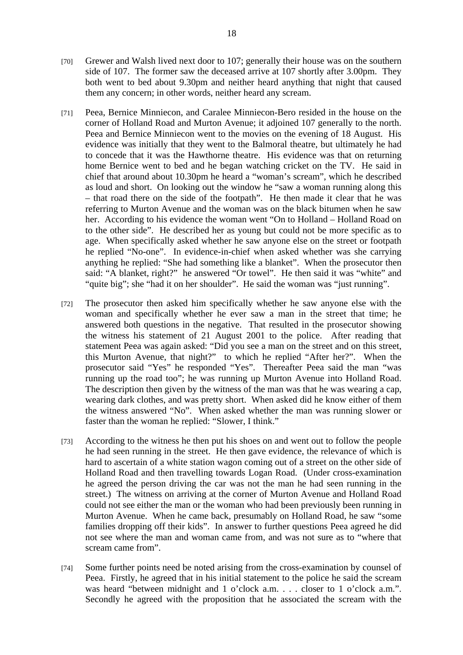- [70] Grewer and Walsh lived next door to 107; generally their house was on the southern side of 107. The former saw the deceased arrive at 107 shortly after 3.00pm. They both went to bed about 9.30pm and neither heard anything that night that caused them any concern; in other words, neither heard any scream.
- [71] Peea, Bernice Minniecon, and Caralee Minniecon-Bero resided in the house on the corner of Holland Road and Murton Avenue; it adjoined 107 generally to the north. Peea and Bernice Minniecon went to the movies on the evening of 18 August. His evidence was initially that they went to the Balmoral theatre, but ultimately he had to concede that it was the Hawthorne theatre. His evidence was that on returning home Bernice went to bed and he began watching cricket on the TV. He said in chief that around about 10.30pm he heard a "woman's scream", which he described as loud and short. On looking out the window he "saw a woman running along this – that road there on the side of the footpath". He then made it clear that he was referring to Murton Avenue and the woman was on the black bitumen when he saw her. According to his evidence the woman went "On to Holland – Holland Road on to the other side". He described her as young but could not be more specific as to age. When specifically asked whether he saw anyone else on the street or footpath he replied "No-one". In evidence-in-chief when asked whether was she carrying anything he replied: "She had something like a blanket". When the prosecutor then said: "A blanket, right?" he answered "Or towel". He then said it was "white" and "quite big"; she "had it on her shoulder". He said the woman was "just running".
- [72] The prosecutor then asked him specifically whether he saw anyone else with the woman and specifically whether he ever saw a man in the street that time; he answered both questions in the negative. That resulted in the prosecutor showing the witness his statement of 21 August 2001 to the police. After reading that statement Peea was again asked: "Did you see a man on the street and on this street, this Murton Avenue, that night?" to which he replied "After her?". When the prosecutor said "Yes" he responded "Yes". Thereafter Peea said the man "was running up the road too"; he was running up Murton Avenue into Holland Road. The description then given by the witness of the man was that he was wearing a cap, wearing dark clothes, and was pretty short. When asked did he know either of them the witness answered "No". When asked whether the man was running slower or faster than the woman he replied: "Slower, I think."
- [73] According to the witness he then put his shoes on and went out to follow the people he had seen running in the street. He then gave evidence, the relevance of which is hard to ascertain of a white station wagon coming out of a street on the other side of Holland Road and then travelling towards Logan Road. (Under cross-examination he agreed the person driving the car was not the man he had seen running in the street.) The witness on arriving at the corner of Murton Avenue and Holland Road could not see either the man or the woman who had been previously been running in Murton Avenue. When he came back, presumably on Holland Road, he saw "some families dropping off their kids". In answer to further questions Peea agreed he did not see where the man and woman came from, and was not sure as to "where that scream came from".
- [74] Some further points need be noted arising from the cross-examination by counsel of Peea. Firstly, he agreed that in his initial statement to the police he said the scream was heard "between midnight and 1 o'clock a.m. . . . closer to 1 o'clock a.m.". Secondly he agreed with the proposition that he associated the scream with the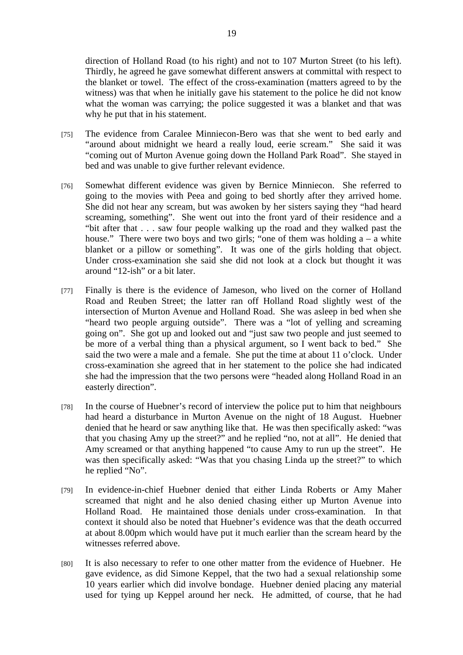direction of Holland Road (to his right) and not to 107 Murton Street (to his left). Thirdly, he agreed he gave somewhat different answers at committal with respect to the blanket or towel. The effect of the cross-examination (matters agreed to by the witness) was that when he initially gave his statement to the police he did not know what the woman was carrying; the police suggested it was a blanket and that was why he put that in his statement.

- [75] The evidence from Caralee Minniecon-Bero was that she went to bed early and "around about midnight we heard a really loud, eerie scream." She said it was "coming out of Murton Avenue going down the Holland Park Road". She stayed in bed and was unable to give further relevant evidence.
- [76] Somewhat different evidence was given by Bernice Minniecon. She referred to going to the movies with Peea and going to bed shortly after they arrived home. She did not hear any scream, but was awoken by her sisters saying they "had heard screaming, something". She went out into the front yard of their residence and a "bit after that . . . saw four people walking up the road and they walked past the house." There were two boys and two girls; "one of them was holding  $a - a$  white blanket or a pillow or something". It was one of the girls holding that object. Under cross-examination she said she did not look at a clock but thought it was around "12-ish" or a bit later.
- [77] Finally is there is the evidence of Jameson, who lived on the corner of Holland Road and Reuben Street; the latter ran off Holland Road slightly west of the intersection of Murton Avenue and Holland Road. She was asleep in bed when she "heard two people arguing outside". There was a "lot of yelling and screaming going on". She got up and looked out and "just saw two people and just seemed to be more of a verbal thing than a physical argument, so I went back to bed." She said the two were a male and a female. She put the time at about 11 o'clock. Under cross-examination she agreed that in her statement to the police she had indicated she had the impression that the two persons were "headed along Holland Road in an easterly direction".
- [78] In the course of Huebner's record of interview the police put to him that neighbours had heard a disturbance in Murton Avenue on the night of 18 August. Huebner denied that he heard or saw anything like that. He was then specifically asked: "was that you chasing Amy up the street?" and he replied "no, not at all". He denied that Amy screamed or that anything happened "to cause Amy to run up the street". He was then specifically asked: "Was that you chasing Linda up the street?" to which he replied "No".
- [79] In evidence-in-chief Huebner denied that either Linda Roberts or Amy Maher screamed that night and he also denied chasing either up Murton Avenue into Holland Road. He maintained those denials under cross-examination. In that context it should also be noted that Huebner's evidence was that the death occurred at about 8.00pm which would have put it much earlier than the scream heard by the witnesses referred above.
- [80] It is also necessary to refer to one other matter from the evidence of Huebner. He gave evidence, as did Simone Keppel, that the two had a sexual relationship some 10 years earlier which did involve bondage. Huebner denied placing any material used for tying up Keppel around her neck. He admitted, of course, that he had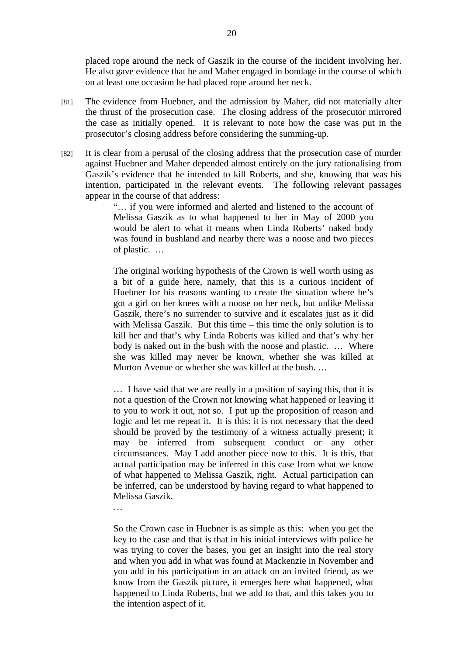placed rope around the neck of Gaszik in the course of the incident involving her. He also gave evidence that he and Maher engaged in bondage in the course of which on at least one occasion he had placed rope around her neck.

- [81] The evidence from Huebner, and the admission by Maher, did not materially alter the thrust of the prosecution case. The closing address of the prosecutor mirrored the case as initially opened. It is relevant to note how the case was put in the prosecutor's closing address before considering the summing-up.
- [82] It is clear from a perusal of the closing address that the prosecution case of murder against Huebner and Maher depended almost entirely on the jury rationalising from Gaszik's evidence that he intended to kill Roberts, and she, knowing that was his intention, participated in the relevant events. The following relevant passages appear in the course of that address:

"… if you were informed and alerted and listened to the account of Melissa Gaszik as to what happened to her in May of 2000 you would be alert to what it means when Linda Roberts' naked body was found in bushland and nearby there was a noose and two pieces of plastic. …

The original working hypothesis of the Crown is well worth using as a bit of a guide here, namely, that this is a curious incident of Huebner for his reasons wanting to create the situation where he's got a girl on her knees with a noose on her neck, but unlike Melissa Gaszik, there's no surrender to survive and it escalates just as it did with Melissa Gaszik. But this time – this time the only solution is to kill her and that's why Linda Roberts was killed and that's why her body is naked out in the bush with the noose and plastic. … Where she was killed may never be known, whether she was killed at Murton Avenue or whether she was killed at the bush. …

… I have said that we are really in a position of saying this, that it is not a question of the Crown not knowing what happened or leaving it to you to work it out, not so. I put up the proposition of reason and logic and let me repeat it. It is this: it is not necessary that the deed should be proved by the testimony of a witness actually present; it may be inferred from subsequent conduct or any other circumstances. May I add another piece now to this. It is this, that actual participation may be inferred in this case from what we know of what happened to Melissa Gaszik, right. Actual participation can be inferred, can be understood by having regard to what happened to Melissa Gaszik.

…

So the Crown case in Huebner is as simple as this: when you get the key to the case and that is that in his initial interviews with police he was trying to cover the bases, you get an insight into the real story and when you add in what was found at Mackenzie in November and you add in his participation in an attack on an invited friend, as we know from the Gaszik picture, it emerges here what happened, what happened to Linda Roberts, but we add to that, and this takes you to the intention aspect of it.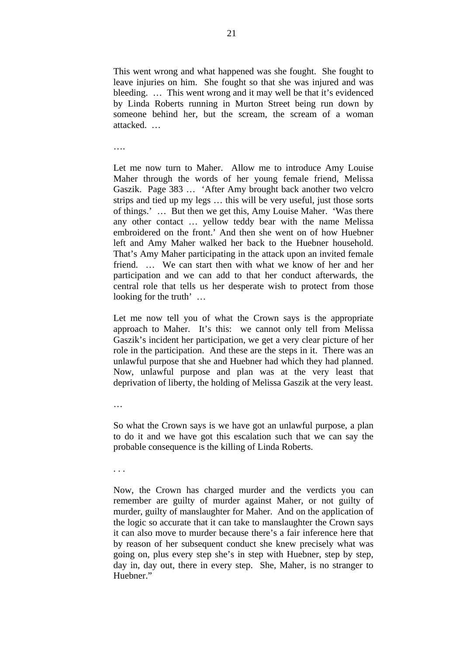This went wrong and what happened was she fought. She fought to leave injuries on him. She fought so that she was injured and was bleeding. … This went wrong and it may well be that it's evidenced by Linda Roberts running in Murton Street being run down by someone behind her, but the scream, the scream of a woman attacked. …

….

Let me now turn to Maher. Allow me to introduce Amy Louise Maher through the words of her young female friend, Melissa Gaszik. Page 383 … 'After Amy brought back another two velcro strips and tied up my legs … this will be very useful, just those sorts of things.' … But then we get this, Amy Louise Maher. 'Was there any other contact … yellow teddy bear with the name Melissa embroidered on the front.' And then she went on of how Huebner left and Amy Maher walked her back to the Huebner household. That's Amy Maher participating in the attack upon an invited female friend. … We can start then with what we know of her and her participation and we can add to that her conduct afterwards, the central role that tells us her desperate wish to protect from those looking for the truth' …

Let me now tell you of what the Crown says is the appropriate approach to Maher. It's this: we cannot only tell from Melissa Gaszik's incident her participation, we get a very clear picture of her role in the participation. And these are the steps in it. There was an unlawful purpose that she and Huebner had which they had planned. Now, unlawful purpose and plan was at the very least that deprivation of liberty, the holding of Melissa Gaszik at the very least.

…

So what the Crown says is we have got an unlawful purpose, a plan to do it and we have got this escalation such that we can say the probable consequence is the killing of Linda Roberts.

. . .

Now, the Crown has charged murder and the verdicts you can remember are guilty of murder against Maher, or not guilty of murder, guilty of manslaughter for Maher. And on the application of the logic so accurate that it can take to manslaughter the Crown says it can also move to murder because there's a fair inference here that by reason of her subsequent conduct she knew precisely what was going on, plus every step she's in step with Huebner, step by step, day in, day out, there in every step. She, Maher, is no stranger to Huebner."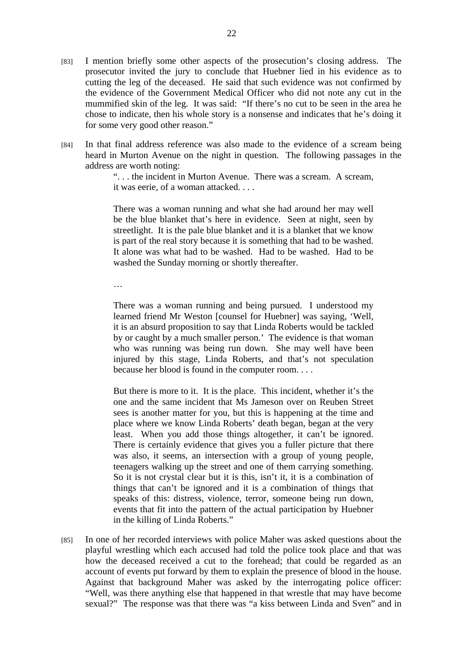- [83] I mention briefly some other aspects of the prosecution's closing address. The prosecutor invited the jury to conclude that Huebner lied in his evidence as to cutting the leg of the deceased. He said that such evidence was not confirmed by the evidence of the Government Medical Officer who did not note any cut in the mummified skin of the leg. It was said: "If there's no cut to be seen in the area he chose to indicate, then his whole story is a nonsense and indicates that he's doing it for some very good other reason."
- [84] In that final address reference was also made to the evidence of a scream being heard in Murton Avenue on the night in question. The following passages in the address are worth noting:

". . . the incident in Murton Avenue. There was a scream. A scream, it was eerie, of a woman attacked. . . .

There was a woman running and what she had around her may well be the blue blanket that's here in evidence. Seen at night, seen by streetlight. It is the pale blue blanket and it is a blanket that we know is part of the real story because it is something that had to be washed. It alone was what had to be washed. Had to be washed. Had to be washed the Sunday morning or shortly thereafter.

…

There was a woman running and being pursued. I understood my learned friend Mr Weston [counsel for Huebner] was saying, 'Well, it is an absurd proposition to say that Linda Roberts would be tackled by or caught by a much smaller person.' The evidence is that woman who was running was being run down. She may well have been injured by this stage, Linda Roberts, and that's not speculation because her blood is found in the computer room. . . .

But there is more to it. It is the place. This incident, whether it's the one and the same incident that Ms Jameson over on Reuben Street sees is another matter for you, but this is happening at the time and place where we know Linda Roberts' death began, began at the very least. When you add those things altogether, it can't be ignored. There is certainly evidence that gives you a fuller picture that there was also, it seems, an intersection with a group of young people, teenagers walking up the street and one of them carrying something. So it is not crystal clear but it is this, isn't it, it is a combination of things that can't be ignored and it is a combination of things that speaks of this: distress, violence, terror, someone being run down, events that fit into the pattern of the actual participation by Huebner in the killing of Linda Roberts."

[85] In one of her recorded interviews with police Maher was asked questions about the playful wrestling which each accused had told the police took place and that was how the deceased received a cut to the forehead; that could be regarded as an account of events put forward by them to explain the presence of blood in the house. Against that background Maher was asked by the interrogating police officer: "Well, was there anything else that happened in that wrestle that may have become sexual?" The response was that there was "a kiss between Linda and Sven" and in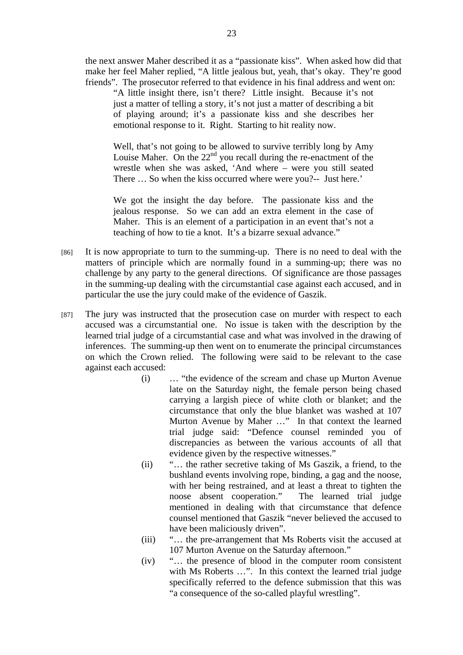the next answer Maher described it as a "passionate kiss". When asked how did that make her feel Maher replied, "A little jealous but, yeah, that's okay. They're good friends". The prosecutor referred to that evidence in his final address and went on:

"A little insight there, isn't there? Little insight. Because it's not just a matter of telling a story, it's not just a matter of describing a bit of playing around; it's a passionate kiss and she describes her emotional response to it. Right. Starting to hit reality now.

Well, that's not going to be allowed to survive terribly long by Amy Louise Maher. On the  $22<sup>nd</sup>$  you recall during the re-enactment of the wrestle when she was asked, 'And where – were you still seated There … So when the kiss occurred where were you?-- Just here.'

We got the insight the day before. The passionate kiss and the jealous response. So we can add an extra element in the case of Maher. This is an element of a participation in an event that's not a teaching of how to tie a knot. It's a bizarre sexual advance."

- [86] It is now appropriate to turn to the summing-up. There is no need to deal with the matters of principle which are normally found in a summing-up; there was no challenge by any party to the general directions. Of significance are those passages in the summing-up dealing with the circumstantial case against each accused, and in particular the use the jury could make of the evidence of Gaszik.
- [87] The jury was instructed that the prosecution case on murder with respect to each accused was a circumstantial one. No issue is taken with the description by the learned trial judge of a circumstantial case and what was involved in the drawing of inferences. The summing-up then went on to enumerate the principal circumstances on which the Crown relied. The following were said to be relevant to the case against each accused:
	- (i) … "the evidence of the scream and chase up Murton Avenue late on the Saturday night, the female person being chased carrying a largish piece of white cloth or blanket; and the circumstance that only the blue blanket was washed at 107 Murton Avenue by Maher …" In that context the learned trial judge said: "Defence counsel reminded you of discrepancies as between the various accounts of all that evidence given by the respective witnesses."
	- (ii) "… the rather secretive taking of Ms Gaszik, a friend, to the bushland events involving rope, binding, a gag and the noose, with her being restrained, and at least a threat to tighten the noose absent cooperation." The learned trial judge mentioned in dealing with that circumstance that defence counsel mentioned that Gaszik "never believed the accused to have been maliciously driven".
	- (iii) "… the pre-arrangement that Ms Roberts visit the accused at 107 Murton Avenue on the Saturday afternoon."
	- (iv) "… the presence of blood in the computer room consistent with Ms Roberts ...". In this context the learned trial judge specifically referred to the defence submission that this was "a consequence of the so-called playful wrestling".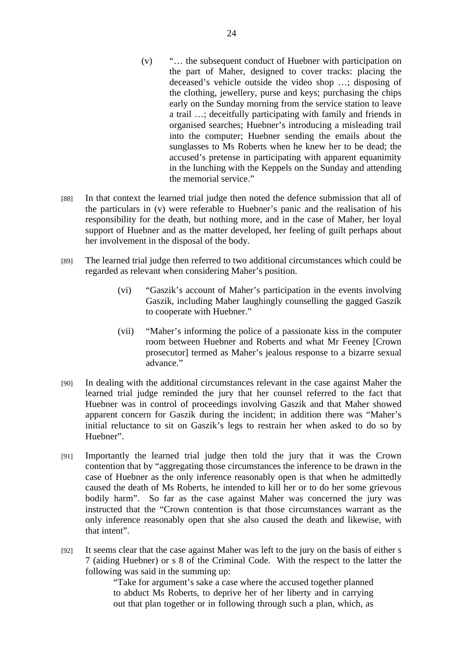- (v) "… the subsequent conduct of Huebner with participation on the part of Maher, designed to cover tracks: placing the deceased's vehicle outside the video shop …; disposing of the clothing, jewellery, purse and keys; purchasing the chips early on the Sunday morning from the service station to leave a trail …; deceitfully participating with family and friends in organised searches; Huebner's introducing a misleading trail into the computer; Huebner sending the emails about the sunglasses to Ms Roberts when he knew her to be dead; the accused's pretense in participating with apparent equanimity in the lunching with the Keppels on the Sunday and attending the memorial service."
- [88] In that context the learned trial judge then noted the defence submission that all of the particulars in (v) were referable to Huebner's panic and the realisation of his responsibility for the death, but nothing more, and in the case of Maher, her loyal support of Huebner and as the matter developed, her feeling of guilt perhaps about her involvement in the disposal of the body.
- [89] The learned trial judge then referred to two additional circumstances which could be regarded as relevant when considering Maher's position.
	- (vi) "Gaszik's account of Maher's participation in the events involving Gaszik, including Maher laughingly counselling the gagged Gaszik to cooperate with Huebner."
	- (vii) "Maher's informing the police of a passionate kiss in the computer room between Huebner and Roberts and what Mr Feeney [Crown prosecutor] termed as Maher's jealous response to a bizarre sexual advance."
- [90] In dealing with the additional circumstances relevant in the case against Maher the learned trial judge reminded the jury that her counsel referred to the fact that Huebner was in control of proceedings involving Gaszik and that Maher showed apparent concern for Gaszik during the incident; in addition there was "Maher's initial reluctance to sit on Gaszik's legs to restrain her when asked to do so by Huebner".
- [91] Importantly the learned trial judge then told the jury that it was the Crown contention that by "aggregating those circumstances the inference to be drawn in the case of Huebner as the only inference reasonably open is that when he admittedly caused the death of Ms Roberts, he intended to kill her or to do her some grievous bodily harm". So far as the case against Maher was concerned the jury was instructed that the "Crown contention is that those circumstances warrant as the only inference reasonably open that she also caused the death and likewise, with that intent".
- [92] It seems clear that the case against Maher was left to the jury on the basis of either s 7 (aiding Huebner) or s 8 of the Criminal Code. With the respect to the latter the following was said in the summing up:

"Take for argument's sake a case where the accused together planned to abduct Ms Roberts, to deprive her of her liberty and in carrying out that plan together or in following through such a plan, which, as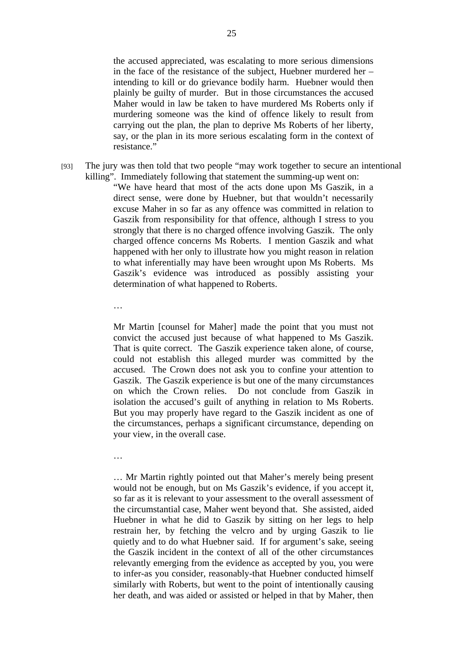the accused appreciated, was escalating to more serious dimensions in the face of the resistance of the subject, Huebner murdered her – intending to kill or do grievance bodily harm. Huebner would then plainly be guilty of murder. But in those circumstances the accused Maher would in law be taken to have murdered Ms Roberts only if murdering someone was the kind of offence likely to result from carrying out the plan, the plan to deprive Ms Roberts of her liberty, say, or the plan in its more serious escalating form in the context of resistance."

[93] The jury was then told that two people "may work together to secure an intentional killing". Immediately following that statement the summing-up went on:

> "We have heard that most of the acts done upon Ms Gaszik, in a direct sense, were done by Huebner, but that wouldn't necessarily excuse Maher in so far as any offence was committed in relation to Gaszik from responsibility for that offence, although I stress to you strongly that there is no charged offence involving Gaszik. The only charged offence concerns Ms Roberts. I mention Gaszik and what happened with her only to illustrate how you might reason in relation to what inferentially may have been wrought upon Ms Roberts. Ms Gaszik's evidence was introduced as possibly assisting your determination of what happened to Roberts.

…

Mr Martin [counsel for Maher] made the point that you must not convict the accused just because of what happened to Ms Gaszik. That is quite correct. The Gaszik experience taken alone, of course, could not establish this alleged murder was committed by the accused. The Crown does not ask you to confine your attention to Gaszik. The Gaszik experience is but one of the many circumstances on which the Crown relies. Do not conclude from Gaszik in isolation the accused's guilt of anything in relation to Ms Roberts. But you may properly have regard to the Gaszik incident as one of the circumstances, perhaps a significant circumstance, depending on your view, in the overall case.

…

… Mr Martin rightly pointed out that Maher's merely being present would not be enough, but on Ms Gaszik's evidence, if you accept it, so far as it is relevant to your assessment to the overall assessment of the circumstantial case, Maher went beyond that. She assisted, aided Huebner in what he did to Gaszik by sitting on her legs to help restrain her, by fetching the velcro and by urging Gaszik to lie quietly and to do what Huebner said. If for argument's sake, seeing the Gaszik incident in the context of all of the other circumstances relevantly emerging from the evidence as accepted by you, you were to infer-as you consider, reasonably-that Huebner conducted himself similarly with Roberts, but went to the point of intentionally causing her death, and was aided or assisted or helped in that by Maher, then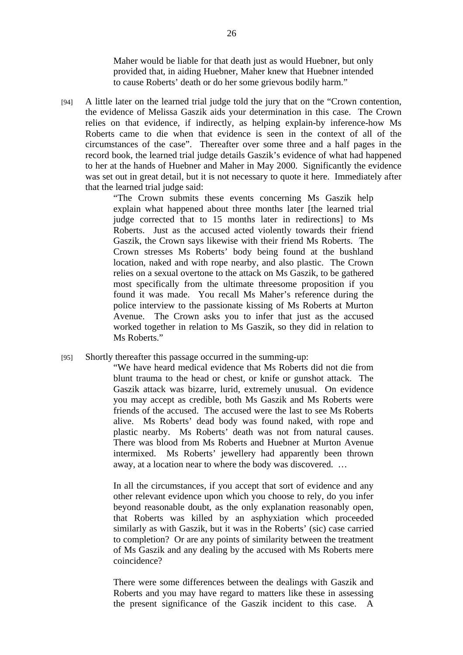Maher would be liable for that death just as would Huebner, but only provided that, in aiding Huebner, Maher knew that Huebner intended to cause Roberts' death or do her some grievous bodily harm."

[94] A little later on the learned trial judge told the jury that on the "Crown contention, the evidence of Melissa Gaszik aids your determination in this case. The Crown relies on that evidence, if indirectly, as helping explain-by inference-how Ms Roberts came to die when that evidence is seen in the context of all of the circumstances of the case". Thereafter over some three and a half pages in the record book, the learned trial judge details Gaszik's evidence of what had happened to her at the hands of Huebner and Maher in May 2000. Significantly the evidence was set out in great detail, but it is not necessary to quote it here. Immediately after that the learned trial judge said:

"The Crown submits these events concerning Ms Gaszik help explain what happened about three months later [the learned trial judge corrected that to 15 months later in redirections] to Ms Roberts. Just as the accused acted violently towards their friend Gaszik, the Crown says likewise with their friend Ms Roberts. The Crown stresses Ms Roberts' body being found at the bushland location, naked and with rope nearby, and also plastic. The Crown relies on a sexual overtone to the attack on Ms Gaszik, to be gathered most specifically from the ultimate threesome proposition if you found it was made. You recall Ms Maher's reference during the police interview to the passionate kissing of Ms Roberts at Murton Avenue. The Crown asks you to infer that just as the accused worked together in relation to Ms Gaszik, so they did in relation to Ms Roberts."

[95] Shortly thereafter this passage occurred in the summing-up:

"We have heard medical evidence that Ms Roberts did not die from blunt trauma to the head or chest, or knife or gunshot attack. The Gaszik attack was bizarre, lurid, extremely unusual. On evidence you may accept as credible, both Ms Gaszik and Ms Roberts were friends of the accused. The accused were the last to see Ms Roberts alive. Ms Roberts' dead body was found naked, with rope and plastic nearby. Ms Roberts' death was not from natural causes. There was blood from Ms Roberts and Huebner at Murton Avenue intermixed. Ms Roberts' jewellery had apparently been thrown away, at a location near to where the body was discovered. …

In all the circumstances, if you accept that sort of evidence and any other relevant evidence upon which you choose to rely, do you infer beyond reasonable doubt, as the only explanation reasonably open, that Roberts was killed by an asphyxiation which proceeded similarly as with Gaszik, but it was in the Roberts' (sic) case carried to completion? Or are any points of similarity between the treatment of Ms Gaszik and any dealing by the accused with Ms Roberts mere coincidence?

There were some differences between the dealings with Gaszik and Roberts and you may have regard to matters like these in assessing the present significance of the Gaszik incident to this case. A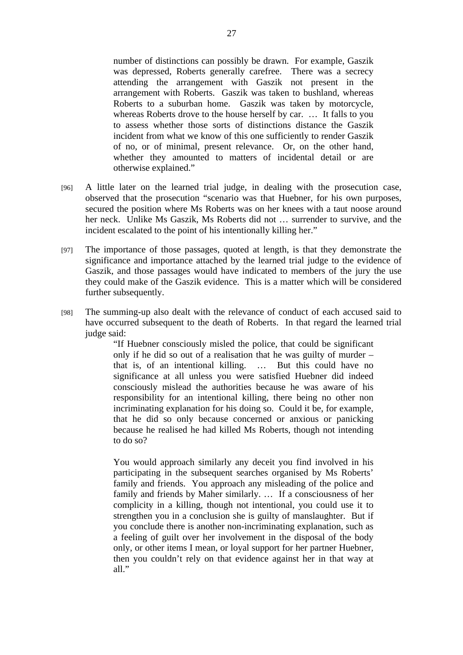number of distinctions can possibly be drawn. For example, Gaszik was depressed, Roberts generally carefree. There was a secrecy attending the arrangement with Gaszik not present in the arrangement with Roberts. Gaszik was taken to bushland, whereas Roberts to a suburban home. Gaszik was taken by motorcycle, whereas Roberts drove to the house herself by car. … It falls to you to assess whether those sorts of distinctions distance the Gaszik incident from what we know of this one sufficiently to render Gaszik of no, or of minimal, present relevance. Or, on the other hand, whether they amounted to matters of incidental detail or are otherwise explained."

- [96] A little later on the learned trial judge, in dealing with the prosecution case, observed that the prosecution "scenario was that Huebner, for his own purposes, secured the position where Ms Roberts was on her knees with a taut noose around her neck. Unlike Ms Gaszik, Ms Roberts did not … surrender to survive, and the incident escalated to the point of his intentionally killing her."
- [97] The importance of those passages, quoted at length, is that they demonstrate the significance and importance attached by the learned trial judge to the evidence of Gaszik, and those passages would have indicated to members of the jury the use they could make of the Gaszik evidence. This is a matter which will be considered further subsequently.
- [98] The summing-up also dealt with the relevance of conduct of each accused said to have occurred subsequent to the death of Roberts. In that regard the learned trial judge said:

"If Huebner consciously misled the police, that could be significant only if he did so out of a realisation that he was guilty of murder – that is, of an intentional killing. … But this could have no significance at all unless you were satisfied Huebner did indeed consciously mislead the authorities because he was aware of his responsibility for an intentional killing, there being no other non incriminating explanation for his doing so. Could it be, for example, that he did so only because concerned or anxious or panicking because he realised he had killed Ms Roberts, though not intending to do so?

You would approach similarly any deceit you find involved in his participating in the subsequent searches organised by Ms Roberts' family and friends. You approach any misleading of the police and family and friends by Maher similarly. … If a consciousness of her complicity in a killing, though not intentional, you could use it to strengthen you in a conclusion she is guilty of manslaughter. But if you conclude there is another non-incriminating explanation, such as a feeling of guilt over her involvement in the disposal of the body only, or other items I mean, or loyal support for her partner Huebner, then you couldn't rely on that evidence against her in that way at  $all.$ "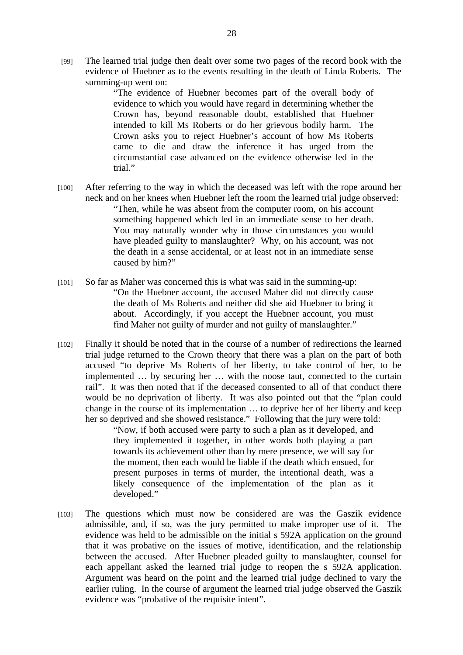[99] The learned trial judge then dealt over some two pages of the record book with the evidence of Huebner as to the events resulting in the death of Linda Roberts. The summing-up went on:

> "The evidence of Huebner becomes part of the overall body of evidence to which you would have regard in determining whether the Crown has, beyond reasonable doubt, established that Huebner intended to kill Ms Roberts or do her grievous bodily harm. The Crown asks you to reject Huebner's account of how Ms Roberts came to die and draw the inference it has urged from the circumstantial case advanced on the evidence otherwise led in the trial"

- [100] After referring to the way in which the deceased was left with the rope around her neck and on her knees when Huebner left the room the learned trial judge observed: "Then, while he was absent from the computer room, on his account something happened which led in an immediate sense to her death. You may naturally wonder why in those circumstances you would have pleaded guilty to manslaughter? Why, on his account, was not the death in a sense accidental, or at least not in an immediate sense caused by him?"
- [101] So far as Maher was concerned this is what was said in the summing-up: "On the Huebner account, the accused Maher did not directly cause the death of Ms Roberts and neither did she aid Huebner to bring it about. Accordingly, if you accept the Huebner account, you must find Maher not guilty of murder and not guilty of manslaughter."
- [102] Finally it should be noted that in the course of a number of redirections the learned trial judge returned to the Crown theory that there was a plan on the part of both accused "to deprive Ms Roberts of her liberty, to take control of her, to be implemented … by securing her … with the noose taut, connected to the curtain rail". It was then noted that if the deceased consented to all of that conduct there would be no deprivation of liberty. It was also pointed out that the "plan could change in the course of its implementation … to deprive her of her liberty and keep her so deprived and she showed resistance." Following that the jury were told:

"Now, if both accused were party to such a plan as it developed, and they implemented it together, in other words both playing a part towards its achievement other than by mere presence, we will say for the moment, then each would be liable if the death which ensued, for present purposes in terms of murder, the intentional death, was a likely consequence of the implementation of the plan as it developed."

[103] The questions which must now be considered are was the Gaszik evidence admissible, and, if so, was the jury permitted to make improper use of it. The evidence was held to be admissible on the initial s 592A application on the ground that it was probative on the issues of motive, identification, and the relationship between the accused. After Huebner pleaded guilty to manslaughter, counsel for each appellant asked the learned trial judge to reopen the s 592A application. Argument was heard on the point and the learned trial judge declined to vary the earlier ruling. In the course of argument the learned trial judge observed the Gaszik evidence was "probative of the requisite intent".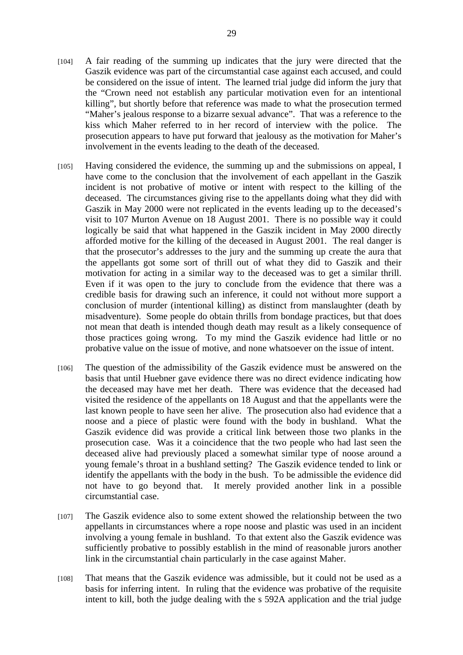- [104] A fair reading of the summing up indicates that the jury were directed that the Gaszik evidence was part of the circumstantial case against each accused, and could be considered on the issue of intent. The learned trial judge did inform the jury that the "Crown need not establish any particular motivation even for an intentional killing", but shortly before that reference was made to what the prosecution termed "Maher's jealous response to a bizarre sexual advance". That was a reference to the kiss which Maher referred to in her record of interview with the police. The prosecution appears to have put forward that jealousy as the motivation for Maher's involvement in the events leading to the death of the deceased.
- [105] Having considered the evidence, the summing up and the submissions on appeal, I have come to the conclusion that the involvement of each appellant in the Gaszik incident is not probative of motive or intent with respect to the killing of the deceased. The circumstances giving rise to the appellants doing what they did with Gaszik in May 2000 were not replicated in the events leading up to the deceased's visit to 107 Murton Avenue on 18 August 2001. There is no possible way it could logically be said that what happened in the Gaszik incident in May 2000 directly afforded motive for the killing of the deceased in August 2001. The real danger is that the prosecutor's addresses to the jury and the summing up create the aura that the appellants got some sort of thrill out of what they did to Gaszik and their motivation for acting in a similar way to the deceased was to get a similar thrill. Even if it was open to the jury to conclude from the evidence that there was a credible basis for drawing such an inference, it could not without more support a conclusion of murder (intentional killing) as distinct from manslaughter (death by misadventure). Some people do obtain thrills from bondage practices, but that does not mean that death is intended though death may result as a likely consequence of those practices going wrong. To my mind the Gaszik evidence had little or no probative value on the issue of motive, and none whatsoever on the issue of intent.
- [106] The question of the admissibility of the Gaszik evidence must be answered on the basis that until Huebner gave evidence there was no direct evidence indicating how the deceased may have met her death. There was evidence that the deceased had visited the residence of the appellants on 18 August and that the appellants were the last known people to have seen her alive. The prosecution also had evidence that a noose and a piece of plastic were found with the body in bushland. What the Gaszik evidence did was provide a critical link between those two planks in the prosecution case. Was it a coincidence that the two people who had last seen the deceased alive had previously placed a somewhat similar type of noose around a young female's throat in a bushland setting? The Gaszik evidence tended to link or identify the appellants with the body in the bush. To be admissible the evidence did not have to go beyond that. It merely provided another link in a possible circumstantial case.
- [107] The Gaszik evidence also to some extent showed the relationship between the two appellants in circumstances where a rope noose and plastic was used in an incident involving a young female in bushland. To that extent also the Gaszik evidence was sufficiently probative to possibly establish in the mind of reasonable jurors another link in the circumstantial chain particularly in the case against Maher.
- [108] That means that the Gaszik evidence was admissible, but it could not be used as a basis for inferring intent. In ruling that the evidence was probative of the requisite intent to kill, both the judge dealing with the s 592A application and the trial judge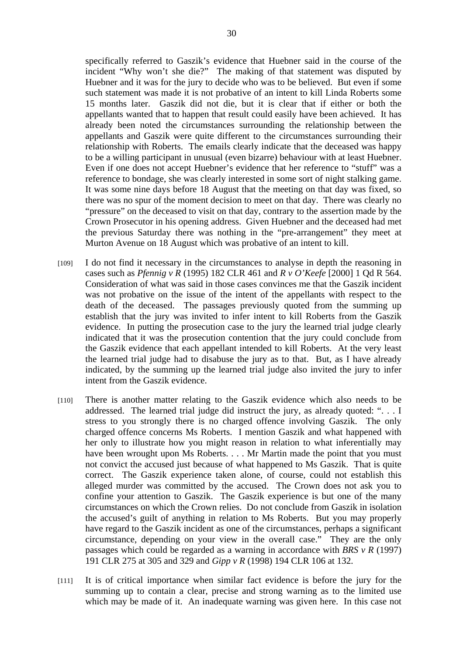specifically referred to Gaszik's evidence that Huebner said in the course of the incident "Why won't she die?" The making of that statement was disputed by Huebner and it was for the jury to decide who was to be believed. But even if some such statement was made it is not probative of an intent to kill Linda Roberts some 15 months later. Gaszik did not die, but it is clear that if either or both the appellants wanted that to happen that result could easily have been achieved. It has already been noted the circumstances surrounding the relationship between the appellants and Gaszik were quite different to the circumstances surrounding their relationship with Roberts. The emails clearly indicate that the deceased was happy to be a willing participant in unusual (even bizarre) behaviour with at least Huebner. Even if one does not accept Huebner's evidence that her reference to "stuff" was a reference to bondage, she was clearly interested in some sort of night stalking game. It was some nine days before 18 August that the meeting on that day was fixed, so there was no spur of the moment decision to meet on that day. There was clearly no "pressure" on the deceased to visit on that day, contrary to the assertion made by the Crown Prosecutor in his opening address. Given Huebner and the deceased had met the previous Saturday there was nothing in the "pre-arrangement" they meet at Murton Avenue on 18 August which was probative of an intent to kill.

- [109] I do not find it necessary in the circumstances to analyse in depth the reasoning in cases such as *Pfennig v R* (1995) 182 CLR 461 and *R v O'Keefe* [2000] 1 Qd R 564. Consideration of what was said in those cases convinces me that the Gaszik incident was not probative on the issue of the intent of the appellants with respect to the death of the deceased. The passages previously quoted from the summing up establish that the jury was invited to infer intent to kill Roberts from the Gaszik evidence. In putting the prosecution case to the jury the learned trial judge clearly indicated that it was the prosecution contention that the jury could conclude from the Gaszik evidence that each appellant intended to kill Roberts. At the very least the learned trial judge had to disabuse the jury as to that. But, as I have already indicated, by the summing up the learned trial judge also invited the jury to infer intent from the Gaszik evidence.
- [110] There is another matter relating to the Gaszik evidence which also needs to be addressed. The learned trial judge did instruct the jury, as already quoted: ". . . I stress to you strongly there is no charged offence involving Gaszik. The only charged offence concerns Ms Roberts. I mention Gaszik and what happened with her only to illustrate how you might reason in relation to what inferentially may have been wrought upon Ms Roberts. . . . Mr Martin made the point that you must not convict the accused just because of what happened to Ms Gaszik. That is quite correct. The Gaszik experience taken alone, of course, could not establish this alleged murder was committed by the accused. The Crown does not ask you to confine your attention to Gaszik. The Gaszik experience is but one of the many circumstances on which the Crown relies. Do not conclude from Gaszik in isolation the accused's guilt of anything in relation to Ms Roberts. But you may properly have regard to the Gaszik incident as one of the circumstances, perhaps a significant circumstance, depending on your view in the overall case." They are the only passages which could be regarded as a warning in accordance with *BRS v R* (1997) 191 CLR 275 at 305 and 329 and *Gipp v R* (1998) 194 CLR 106 at 132.
- [111] It is of critical importance when similar fact evidence is before the jury for the summing up to contain a clear, precise and strong warning as to the limited use which may be made of it. An inadequate warning was given here. In this case not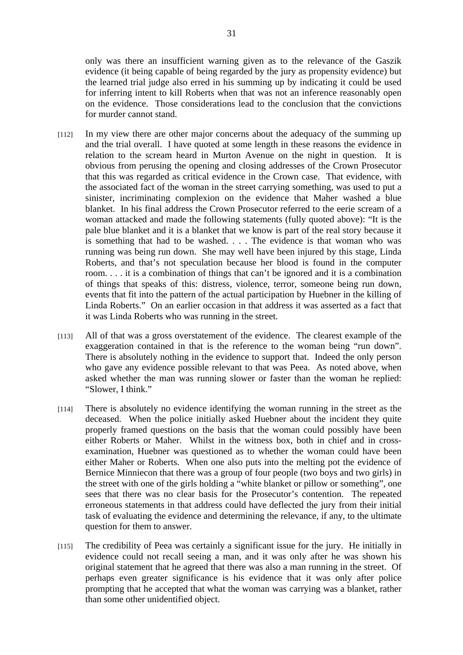only was there an insufficient warning given as to the relevance of the Gaszik evidence (it being capable of being regarded by the jury as propensity evidence) but the learned trial judge also erred in his summing up by indicating it could be used for inferring intent to kill Roberts when that was not an inference reasonably open on the evidence. Those considerations lead to the conclusion that the convictions for murder cannot stand.

- [112] In my view there are other major concerns about the adequacy of the summing up and the trial overall. I have quoted at some length in these reasons the evidence in relation to the scream heard in Murton Avenue on the night in question. It is obvious from perusing the opening and closing addresses of the Crown Prosecutor that this was regarded as critical evidence in the Crown case. That evidence, with the associated fact of the woman in the street carrying something, was used to put a sinister, incriminating complexion on the evidence that Maher washed a blue blanket. In his final address the Crown Prosecutor referred to the eerie scream of a woman attacked and made the following statements (fully quoted above): "It is the pale blue blanket and it is a blanket that we know is part of the real story because it is something that had to be washed. . . . The evidence is that woman who was running was being run down. She may well have been injured by this stage, Linda Roberts, and that's not speculation because her blood is found in the computer room. . . . it is a combination of things that can't be ignored and it is a combination of things that speaks of this: distress, violence, terror, someone being run down, events that fit into the pattern of the actual participation by Huebner in the killing of Linda Roberts." On an earlier occasion in that address it was asserted as a fact that it was Linda Roberts who was running in the street.
- [113] All of that was a gross overstatement of the evidence. The clearest example of the exaggeration contained in that is the reference to the woman being "run down". There is absolutely nothing in the evidence to support that. Indeed the only person who gave any evidence possible relevant to that was Peea. As noted above, when asked whether the man was running slower or faster than the woman he replied: "Slower, I think."
- [114] There is absolutely no evidence identifying the woman running in the street as the deceased. When the police initially asked Huebner about the incident they quite properly framed questions on the basis that the woman could possibly have been either Roberts or Maher. Whilst in the witness box, both in chief and in crossexamination, Huebner was questioned as to whether the woman could have been either Maher or Roberts. When one also puts into the melting pot the evidence of Bernice Minniecon that there was a group of four people (two boys and two girls) in the street with one of the girls holding a "white blanket or pillow or something", one sees that there was no clear basis for the Prosecutor's contention. The repeated erroneous statements in that address could have deflected the jury from their initial task of evaluating the evidence and determining the relevance, if any, to the ultimate question for them to answer.
- [115] The credibility of Peea was certainly a significant issue for the jury. He initially in evidence could not recall seeing a man, and it was only after he was shown his original statement that he agreed that there was also a man running in the street. Of perhaps even greater significance is his evidence that it was only after police prompting that he accepted that what the woman was carrying was a blanket, rather than some other unidentified object.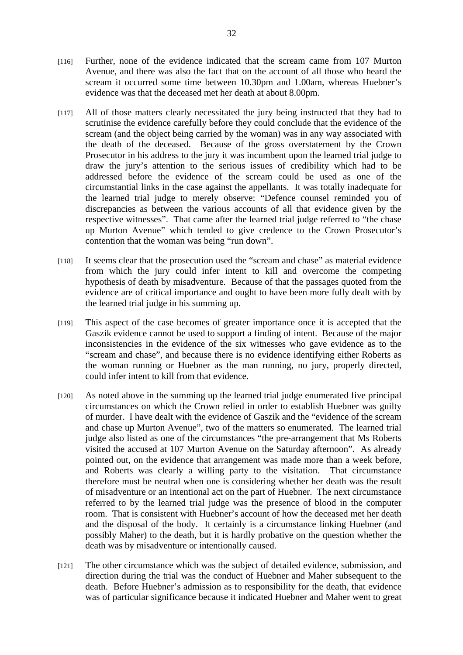- [116] Further, none of the evidence indicated that the scream came from 107 Murton Avenue, and there was also the fact that on the account of all those who heard the scream it occurred some time between 10.30pm and 1.00am, whereas Huebner's evidence was that the deceased met her death at about 8.00pm.
- [117] All of those matters clearly necessitated the jury being instructed that they had to scrutinise the evidence carefully before they could conclude that the evidence of the scream (and the object being carried by the woman) was in any way associated with the death of the deceased. Because of the gross overstatement by the Crown Prosecutor in his address to the jury it was incumbent upon the learned trial judge to draw the jury's attention to the serious issues of credibility which had to be addressed before the evidence of the scream could be used as one of the circumstantial links in the case against the appellants. It was totally inadequate for the learned trial judge to merely observe: "Defence counsel reminded you of discrepancies as between the various accounts of all that evidence given by the respective witnesses". That came after the learned trial judge referred to "the chase up Murton Avenue" which tended to give credence to the Crown Prosecutor's contention that the woman was being "run down".
- [118] It seems clear that the prosecution used the "scream and chase" as material evidence from which the jury could infer intent to kill and overcome the competing hypothesis of death by misadventure. Because of that the passages quoted from the evidence are of critical importance and ought to have been more fully dealt with by the learned trial judge in his summing up.
- [119] This aspect of the case becomes of greater importance once it is accepted that the Gaszik evidence cannot be used to support a finding of intent. Because of the major inconsistencies in the evidence of the six witnesses who gave evidence as to the "scream and chase", and because there is no evidence identifying either Roberts as the woman running or Huebner as the man running, no jury, properly directed, could infer intent to kill from that evidence.
- [120] As noted above in the summing up the learned trial judge enumerated five principal circumstances on which the Crown relied in order to establish Huebner was guilty of murder. I have dealt with the evidence of Gaszik and the "evidence of the scream and chase up Murton Avenue", two of the matters so enumerated. The learned trial judge also listed as one of the circumstances "the pre-arrangement that Ms Roberts visited the accused at 107 Murton Avenue on the Saturday afternoon". As already pointed out, on the evidence that arrangement was made more than a week before, and Roberts was clearly a willing party to the visitation. That circumstance therefore must be neutral when one is considering whether her death was the result of misadventure or an intentional act on the part of Huebner. The next circumstance referred to by the learned trial judge was the presence of blood in the computer room. That is consistent with Huebner's account of how the deceased met her death and the disposal of the body. It certainly is a circumstance linking Huebner (and possibly Maher) to the death, but it is hardly probative on the question whether the death was by misadventure or intentionally caused.
- [121] The other circumstance which was the subject of detailed evidence, submission, and direction during the trial was the conduct of Huebner and Maher subsequent to the death. Before Huebner's admission as to responsibility for the death, that evidence was of particular significance because it indicated Huebner and Maher went to great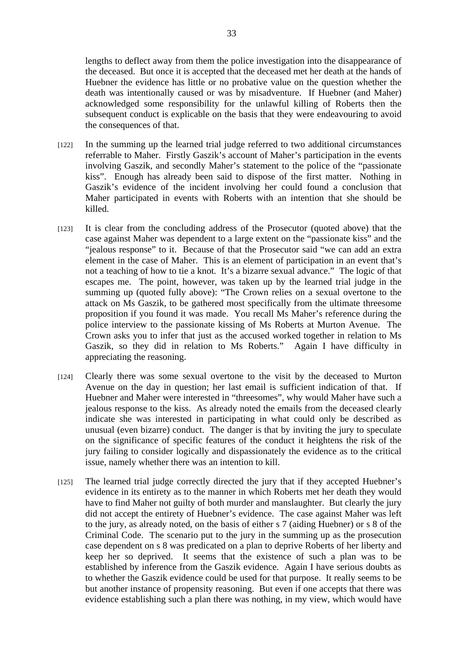lengths to deflect away from them the police investigation into the disappearance of the deceased. But once it is accepted that the deceased met her death at the hands of Huebner the evidence has little or no probative value on the question whether the death was intentionally caused or was by misadventure. If Huebner (and Maher) acknowledged some responsibility for the unlawful killing of Roberts then the subsequent conduct is explicable on the basis that they were endeavouring to avoid the consequences of that.

- [122] In the summing up the learned trial judge referred to two additional circumstances referrable to Maher. Firstly Gaszik's account of Maher's participation in the events involving Gaszik, and secondly Maher's statement to the police of the "passionate kiss". Enough has already been said to dispose of the first matter. Nothing in Gaszik's evidence of the incident involving her could found a conclusion that Maher participated in events with Roberts with an intention that she should be killed.
- [123] It is clear from the concluding address of the Prosecutor (quoted above) that the case against Maher was dependent to a large extent on the "passionate kiss" and the "jealous response" to it. Because of that the Prosecutor said "we can add an extra element in the case of Maher. This is an element of participation in an event that's not a teaching of how to tie a knot. It's a bizarre sexual advance." The logic of that escapes me. The point, however, was taken up by the learned trial judge in the summing up (quoted fully above): "The Crown relies on a sexual overtone to the attack on Ms Gaszik, to be gathered most specifically from the ultimate threesome proposition if you found it was made. You recall Ms Maher's reference during the police interview to the passionate kissing of Ms Roberts at Murton Avenue. The Crown asks you to infer that just as the accused worked together in relation to Ms Gaszik, so they did in relation to Ms Roberts." Again I have difficulty in appreciating the reasoning.
- [124] Clearly there was some sexual overtone to the visit by the deceased to Murton Avenue on the day in question; her last email is sufficient indication of that. If Huebner and Maher were interested in "threesomes", why would Maher have such a jealous response to the kiss. As already noted the emails from the deceased clearly indicate she was interested in participating in what could only be described as unusual (even bizarre) conduct. The danger is that by inviting the jury to speculate on the significance of specific features of the conduct it heightens the risk of the jury failing to consider logically and dispassionately the evidence as to the critical issue, namely whether there was an intention to kill.
- [125] The learned trial judge correctly directed the jury that if they accepted Huebner's evidence in its entirety as to the manner in which Roberts met her death they would have to find Maher not guilty of both murder and manslaughter. But clearly the jury did not accept the entirety of Huebner's evidence. The case against Maher was left to the jury, as already noted, on the basis of either s 7 (aiding Huebner) or s 8 of the Criminal Code. The scenario put to the jury in the summing up as the prosecution case dependent on s 8 was predicated on a plan to deprive Roberts of her liberty and keep her so deprived. It seems that the existence of such a plan was to be established by inference from the Gaszik evidence. Again I have serious doubts as to whether the Gaszik evidence could be used for that purpose. It really seems to be but another instance of propensity reasoning. But even if one accepts that there was evidence establishing such a plan there was nothing, in my view, which would have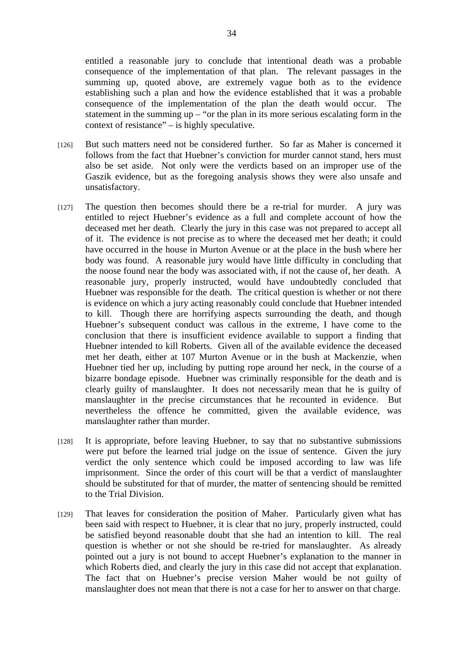entitled a reasonable jury to conclude that intentional death was a probable consequence of the implementation of that plan. The relevant passages in the summing up, quoted above, are extremely vague both as to the evidence establishing such a plan and how the evidence established that it was a probable consequence of the implementation of the plan the death would occur. The statement in the summing  $up -$  "or the plan in its more serious escalating form in the context of resistance" – is highly speculative.

- [126] But such matters need not be considered further. So far as Maher is concerned it follows from the fact that Huebner's conviction for murder cannot stand, hers must also be set aside. Not only were the verdicts based on an improper use of the Gaszik evidence, but as the foregoing analysis shows they were also unsafe and unsatisfactory.
- [127] The question then becomes should there be a re-trial for murder. A jury was entitled to reject Huebner's evidence as a full and complete account of how the deceased met her death. Clearly the jury in this case was not prepared to accept all of it. The evidence is not precise as to where the deceased met her death; it could have occurred in the house in Murton Avenue or at the place in the bush where her body was found. A reasonable jury would have little difficulty in concluding that the noose found near the body was associated with, if not the cause of, her death. A reasonable jury, properly instructed, would have undoubtedly concluded that Huebner was responsible for the death. The critical question is whether or not there is evidence on which a jury acting reasonably could conclude that Huebner intended to kill. Though there are horrifying aspects surrounding the death, and though Huebner's subsequent conduct was callous in the extreme, I have come to the conclusion that there is insufficient evidence available to support a finding that Huebner intended to kill Roberts. Given all of the available evidence the deceased met her death, either at 107 Murton Avenue or in the bush at Mackenzie, when Huebner tied her up, including by putting rope around her neck, in the course of a bizarre bondage episode. Huebner was criminally responsible for the death and is clearly guilty of manslaughter. It does not necessarily mean that he is guilty of manslaughter in the precise circumstances that he recounted in evidence. But nevertheless the offence he committed, given the available evidence, was manslaughter rather than murder.
- [128] It is appropriate, before leaving Huebner, to say that no substantive submissions were put before the learned trial judge on the issue of sentence. Given the jury verdict the only sentence which could be imposed according to law was life imprisonment. Since the order of this court will be that a verdict of manslaughter should be substituted for that of murder, the matter of sentencing should be remitted to the Trial Division.
- [129] That leaves for consideration the position of Maher. Particularly given what has been said with respect to Huebner, it is clear that no jury, properly instructed, could be satisfied beyond reasonable doubt that she had an intention to kill. The real question is whether or not she should be re-tried for manslaughter. As already pointed out a jury is not bound to accept Huebner's explanation to the manner in which Roberts died, and clearly the jury in this case did not accept that explanation. The fact that on Huebner's precise version Maher would be not guilty of manslaughter does not mean that there is not a case for her to answer on that charge.